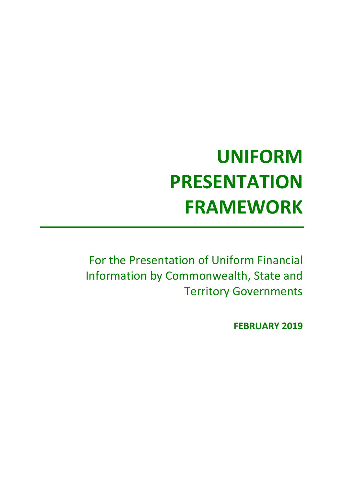# **UNIFORM PRESENTATION FRAMEWORK**

For the Presentation of Uniform Financial Information by Commonwealth, State and Territory Governments

**FEBRUARY 2019**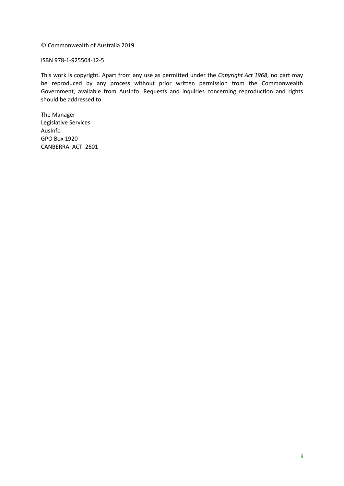© Commonwealth of Australia 2019

ISBN 978-1-925504-12-5

This work is copyright. Apart from any use as permitted under the *Copyright Act 1968*, no part may be reproduced by any process without prior written permission from the Commonwealth Government, available from AusInfo. Requests and inquiries concerning reproduction and rights should be addressed to:

The Manager Legislative Services AusInfo GPO Box 1920 CANBERRA ACT 2601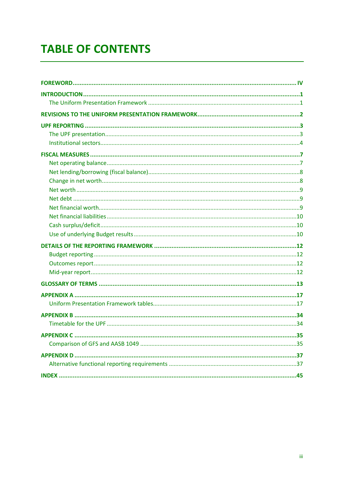# **TABLE OF CONTENTS**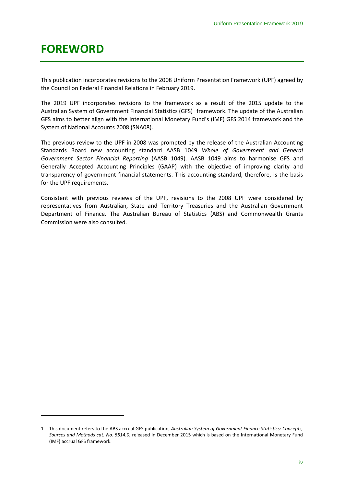# <span id="page-3-0"></span>**FOREWORD**

1

This publication incorporates revisions to the 2008 Uniform Presentation Framework (UPF) agreed by the Council on Federal Financial Relations in February 2019.

The 2019 UPF incorporates revisions to the framework as a result of the 2015 update to the Australian System of Government Financial Statistics (GFS) $<sup>1</sup>$  $<sup>1</sup>$  $<sup>1</sup>$  framework. The update of the Australian</sup> GFS aims to better align with the International Monetary Fund's (IMF) GFS 2014 framework and the System of National Accounts 2008 (SNA08).

The previous review to the UPF in 2008 was prompted by the release of the Australian Accounting Standards Board new accounting standard AASB 1049 *Whole of Government and General Government Sector Financial Reporting* (AASB 1049). AASB 1049 aims to harmonise GFS and Generally Accepted Accounting Principles (GAAP) with the objective of improving clarity and transparency of government financial statements. This accounting standard, therefore, is the basis for the UPF requirements.

Consistent with previous reviews of the UPF, revisions to the 2008 UPF were considered by representatives from Australian, State and Territory Treasuries and the Australian Government Department of Finance. The Australian Bureau of Statistics (ABS) and Commonwealth Grants Commission were also consulted.

<span id="page-3-1"></span><sup>1</sup> This document refers to the ABS accrual GFS publication, *Australian System of Government Finance Statistics: Concepts, Sources and Methods cat. No. 5514.0*, released in December 2015 which is based on the International Monetary Fund (IMF) accrual GFS framework.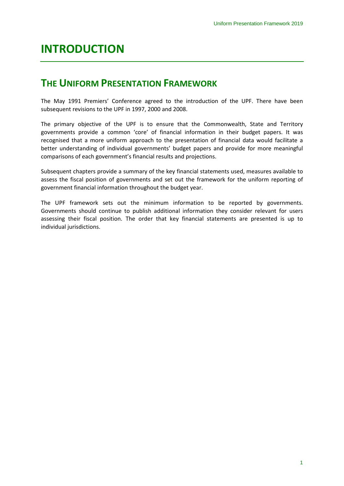# <span id="page-4-0"></span>**INTRODUCTION**

# <span id="page-4-1"></span>**THE UNIFORM PRESENTATION FRAMEWORK**

The May 1991 Premiers' Conference agreed to the introduction of the UPF. There have been subsequent revisions to the UPF in 1997, 2000 and 2008.

The primary objective of the UPF is to ensure that the Commonwealth, State and Territory governments provide a common 'core' of financial information in their budget papers. It was recognised that a more uniform approach to the presentation of financial data would facilitate a better understanding of individual governments' budget papers and provide for more meaningful comparisons of each government's financial results and projections.

Subsequent chapters provide a summary of the key financial statements used, measures available to assess the fiscal position of governments and set out the framework for the uniform reporting of government financial information throughout the budget year.

The UPF framework sets out the minimum information to be reported by governments. Governments should continue to publish additional information they consider relevant for users assessing their fiscal position. The order that key financial statements are presented is up to individual jurisdictions.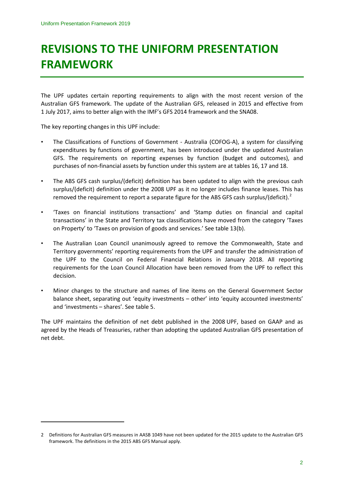# **REVISIONS TO THE UNIFORM PRESENTATION FRAMEWORK**

The UPF updates certain reporting requirements to align with the most recent version of the Australian GFS framework. The update of the Australian GFS, released in 2015 and effective from 1 July 2017, aims to better align with the IMF's GFS 2014 framework and the SNA08.

The key reporting changes in this UPF include:

**.** 

- The Classifications of Functions of Government Australia (COFOG-A), a system for classifying expenditures by functions of government, has been introduced under the updated Australian GFS. The requirements on reporting expenses by function (budget and outcomes), and purchases of non-financial assets by function under this system are at tables 16, 17 and 18.
- The ABS GFS cash surplus/(deficit) definition has been updated to align with the previous cash surplus/(deficit) definition under the 2008 UPF as it no longer includes finance leases. This has removed the requirement to report a separate figure for the ABS GFS cash surplus/(deficit).<sup>[2](#page-5-0)</sup>
- 'Taxes on financial institutions transactions' and 'Stamp duties on financial and capital transactions' in the State and Territory tax classifications have moved from the category 'Taxes on Property' to 'Taxes on provision of goods and services.' See table 13(b).
- The Australian Loan Council unanimously agreed to remove the Commonwealth, State and Territory governments' reporting requirements from the UPF and transfer the administration of the UPF to the Council on Federal Financial Relations in January 2018. All reporting requirements for the Loan Council Allocation have been removed from the UPF to reflect this decision.
- Minor changes to the structure and names of line items on the General Government Sector balance sheet, separating out 'equity investments – other' into 'equity accounted investments' and 'investments – shares'. See table 5.

The UPF maintains the definition of net debt published in the 2008 UPF, based on GAAP and as agreed by the Heads of Treasuries, rather than adopting the updated Australian GFS presentation of net debt.

<span id="page-5-0"></span><sup>2</sup> Definitions for Australian GFS measures in AASB 1049 have not been updated for the 2015 update to the Australian GFS framework. The definitions in the 2015 ABS GFS Manual apply.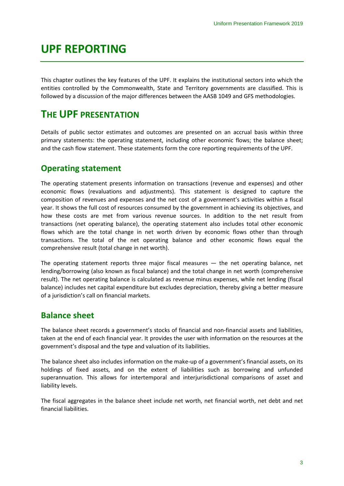# <span id="page-6-0"></span>**UPF REPORTING**

This chapter outlines the key features of the UPF. It explains the institutional sectors into which the entities controlled by the Commonwealth, State and Territory governments are classified. This is followed by a discussion of the major differences between the AASB 1049 and GFS methodologies.

# <span id="page-6-1"></span>**THE UPF PRESENTATION**

Details of public sector estimates and outcomes are presented on an accrual basis within three primary statements: the operating statement, including other economic flows; the balance sheet; and the cash flow statement. These statements form the core reporting requirements of the UPF.

### **Operating statement**

The operating statement presents information on transactions (revenue and expenses) and other economic flows (revaluations and adjustments). This statement is designed to capture the composition of revenues and expenses and the net cost of a government's activities within a fiscal year. It shows the full cost of resources consumed by the government in achieving its objectives, and how these costs are met from various revenue sources. In addition to the net result from transactions (net operating balance), the operating statement also includes total other economic flows which are the total change in net worth driven by economic flows other than through transactions. The total of the net operating balance and other economic flows equal the comprehensive result (total change in net worth).

The operating statement reports three major fiscal measures  $-$  the net operating balance, net lending/borrowing (also known as fiscal balance) and the total change in net worth (comprehensive result). The net operating balance is calculated as revenue minus expenses, while net lending (fiscal balance) includes net capital expenditure but excludes depreciation, thereby giving a better measure of a jurisdiction's call on financial markets.

### **Balance sheet**

The balance sheet records a government's stocks of financial and non-financial assets and liabilities, taken at the end of each financial year. It provides the user with information on the resources at the government's disposal and the type and valuation of its liabilities.

The balance sheet also includes information on the make-up of a government's financial assets, on its holdings of fixed assets, and on the extent of liabilities such as borrowing and unfunded superannuation. This allows for intertemporal and interjurisdictional comparisons of asset and liability levels.

The fiscal aggregates in the balance sheet include net worth, net financial worth, net debt and net financial liabilities.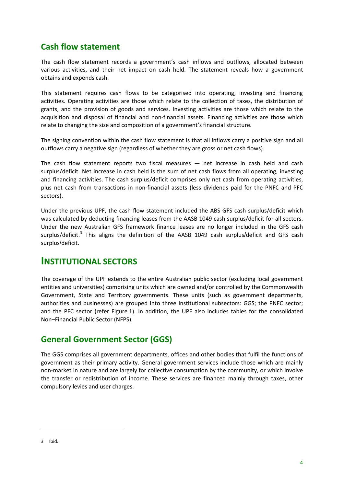### **Cash flow statement**

The cash flow statement records a government's cash inflows and outflows, allocated between various activities, and their net impact on cash held. The statement reveals how a government obtains and expends cash.

This statement requires cash flows to be categorised into operating, investing and financing activities. Operating activities are those which relate to the collection of taxes, the distribution of grants, and the provision of goods and services. Investing activities are those which relate to the acquisition and disposal of financial and non-financial assets. Financing activities are those which relate to changing the size and composition of a government's financial structure.

The signing convention within the cash flow statement is that all inflows carry a positive sign and all outflows carry a negative sign (regardless of whether they are gross or net cash flows).

The cash flow statement reports two fiscal measures — net increase in cash held and cash surplus/deficit. Net increase in cash held is the sum of net cash flows from all operating, investing and financing activities. The cash surplus/deficit comprises only net cash from operating activities, plus net cash from transactions in non-financial assets (less dividends paid for the PNFC and PFC sectors).

Under the previous UPF, the cash flow statement included the ABS GFS cash surplus/deficit which was calculated by deducting financing leases from the AASB 1049 cash surplus/deficit for all sectors. Under the new Australian GFS framework finance leases are no longer included in the GFS cash surplus/deficit.<sup>[3](#page-7-1)</sup> This aligns the definition of the AASB 1049 cash surplus/deficit and GFS cash surplus/deficit.

# <span id="page-7-0"></span>**INSTITUTIONAL SECTORS**

The coverage of the UPF extends to the entire Australian public sector (excluding local government entities and universities) comprising units which are owned and/or controlled by the Commonwealth Government, State and Territory governments. These units (such as government departments, authorities and businesses) are grouped into three institutional subsectors: GGS; the PNFC sector; and the PFC sector (refer Figure 1). In addition, the UPF also includes tables for the consolidated Non–Financial Public Sector (NFPS).

# **General Government Sector (GGS)**

The GGS comprises all government departments, offices and other bodies that fulfil the functions of government as their primary activity. General government services include those which are mainly non-market in nature and are largely for collective consumption by the community, or which involve the transfer or redistribution of income. These services are financed mainly through taxes, other compulsory levies and user charges.

**.** 

<span id="page-7-1"></span><sup>3</sup> Ibid.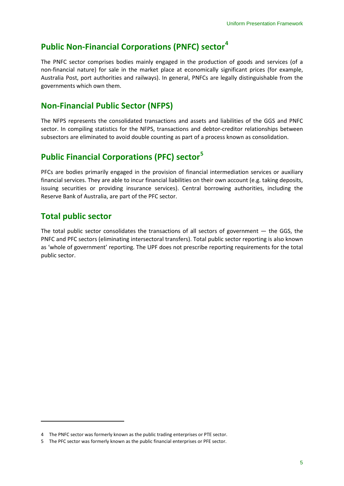# **Public Non-Financial Corporations (PNFC) sector[4](#page-8-0)**

The PNFC sector comprises bodies mainly engaged in the production of goods and services (of a non-financial nature) for sale in the market place at economically significant prices (for example, Australia Post, port authorities and railways). In general, PNFCs are legally distinguishable from the governments which own them.

# **Non-Financial Public Sector (NFPS)**

The NFPS represents the consolidated transactions and assets and liabilities of the GGS and PNFC sector. In compiling statistics for the NFPS, transactions and debtor-creditor relationships between subsectors are eliminated to avoid double counting as part of a process known as consolidation.

# **Public Financial Corporations (PFC) sector[5](#page-8-1)**

PFCs are bodies primarily engaged in the provision of financial intermediation services or auxiliary financial services. They are able to incur financial liabilities on their own account (e.g. taking deposits, issuing securities or providing insurance services). Central borrowing authorities, including the Reserve Bank of Australia, are part of the PFC sector.

# **Total public sector**

**.** 

The total public sector consolidates the transactions of all sectors of government — the GGS, the PNFC and PFC sectors (eliminating intersectoral transfers). Total public sector reporting is also known as 'whole of government' reporting. The UPF does not prescribe reporting requirements for the total public sector.

<span id="page-8-0"></span><sup>4</sup> The PNFC sector was formerly known as the public trading enterprises or PTE sector.

<span id="page-8-1"></span><sup>5</sup> The PFC sector was formerly known as the public financial enterprises or PFE sector.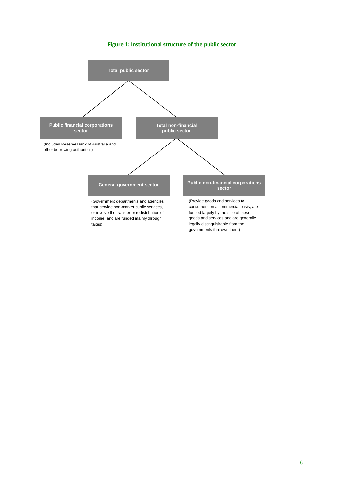#### **Figure 1: Institutional structure of the public sector**

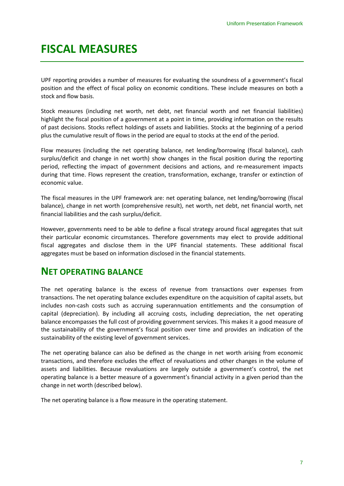# <span id="page-10-0"></span>**FISCAL MEASURES**

UPF reporting provides a number of measures for evaluating the soundness of a government's fiscal position and the effect of fiscal policy on economic conditions. These include measures on both a stock and flow basis.

Stock measures (including net worth, net debt, net financial worth and net financial liabilities) highlight the fiscal position of a government at a point in time, providing information on the results of past decisions. Stocks reflect holdings of assets and liabilities. Stocks at the beginning of a period plus the cumulative result of flows in the period are equal to stocks at the end of the period.

Flow measures (including the net operating balance, net lending/borrowing (fiscal balance), cash surplus/deficit and change in net worth) show changes in the fiscal position during the reporting period, reflecting the impact of government decisions and actions, and re-measurement impacts during that time. Flows represent the creation, transformation, exchange, transfer or extinction of economic value.

The fiscal measures in the UPF framework are: net operating balance, net lending/borrowing (fiscal balance), change in net worth (comprehensive result), net worth, net debt, net financial worth, net financial liabilities and the cash surplus/deficit.

However, governments need to be able to define a fiscal strategy around fiscal aggregates that suit their particular economic circumstances. Therefore governments may elect to provide additional fiscal aggregates and disclose them in the UPF financial statements. These additional fiscal aggregates must be based on information disclosed in the financial statements.

# <span id="page-10-1"></span>**NET OPERATING BALANCE**

The net operating balance is the excess of revenue from transactions over expenses from transactions. The net operating balance excludes expenditure on the acquisition of capital assets, but includes non-cash costs such as accruing superannuation entitlements and the consumption of capital (depreciation). By including all accruing costs, including depreciation, the net operating balance encompasses the full cost of providing government services. This makes it a good measure of the sustainability of the government's fiscal position over time and provides an indication of the sustainability of the existing level of government services.

The net operating balance can also be defined as the change in net worth arising from economic transactions, and therefore excludes the effect of revaluations and other changes in the volume of assets and liabilities. Because revaluations are largely outside a government's control, the net operating balance is a better measure of a government's financial activity in a given period than the change in net worth (described below).

The net operating balance is a flow measure in the operating statement.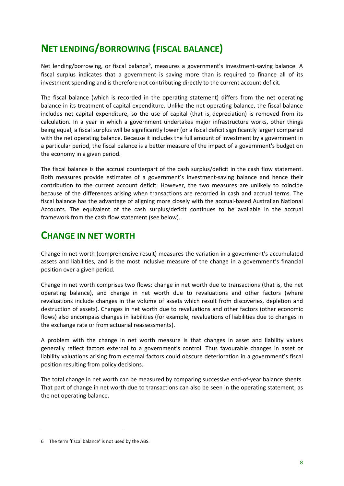# <span id="page-11-0"></span>**NET LENDING/BORROWING (FISCAL BALANCE)**

Net lending/borrowing, or fiscal balance<sup>[6](#page-11-2)</sup>, measures a government's investment-saving balance. A fiscal surplus indicates that a government is saving more than is required to finance all of its investment spending and is therefore not contributing directly to the current account deficit.

The fiscal balance (which is recorded in the operating statement) differs from the net operating balance in its treatment of capital expenditure. Unlike the net operating balance, the fiscal balance includes net capital expenditure, so the use of capital (that is, depreciation) is removed from its calculation. In a year in which a government undertakes major infrastructure works, other things being equal, a fiscal surplus will be significantly lower (or a fiscal deficit significantly larger) compared with the net operating balance. Because it includes the full amount of investment by a government in a particular period, the fiscal balance is a better measure of the impact of a government's budget on the economy in a given period.

The fiscal balance is the accrual counterpart of the cash surplus/deficit in the cash flow statement. Both measures provide estimates of a government's investment-saving balance and hence their contribution to the current account deficit. However, the two measures are unlikely to coincide because of the differences arising when transactions are recorded in cash and accrual terms. The fiscal balance has the advantage of aligning more closely with the accrual-based Australian National Accounts. The equivalent of the cash surplus/deficit continues to be available in the accrual framework from the cash flow statement (see below).

# <span id="page-11-1"></span>**CHANGE IN NET WORTH**

Change in net worth (comprehensive result) measures the variation in a government's accumulated assets and liabilities, and is the most inclusive measure of the change in a government's financial position over a given period.

Change in net worth comprises two flows: change in net worth due to transactions (that is, the net operating balance), and change in net worth due to revaluations and other factors (where revaluations include changes in the volume of assets which result from discoveries, depletion and destruction of assets). Changes in net worth due to revaluations and other factors (other economic flows) also encompass changes in liabilities (for example, revaluations of liabilities due to changes in the exchange rate or from actuarial reassessments).

A problem with the change in net worth measure is that changes in asset and liability values generally reflect factors external to a government's control. Thus favourable changes in asset or liability valuations arising from external factors could obscure deterioration in a government's fiscal position resulting from policy decisions.

The total change in net worth can be measured by comparing successive end-of-year balance sheets. That part of change in net worth due to transactions can also be seen in the operating statement, as the net operating balance.

**.** 

<span id="page-11-2"></span><sup>6</sup> The term 'fiscal balance' is not used by the ABS.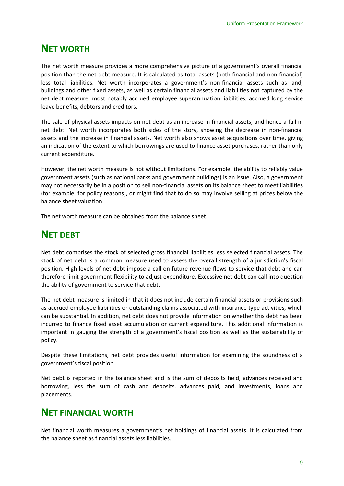# <span id="page-12-0"></span>**NET WORTH**

The net worth measure provides a more comprehensive picture of a government's overall financial position than the net debt measure. It is calculated as total assets (both financial and non-financial) less total liabilities. Net worth incorporates a government's non-financial assets such as land, buildings and other fixed assets, as well as certain financial assets and liabilities not captured by the net debt measure, most notably accrued employee superannuation liabilities, accrued long service leave benefits, debtors and creditors.

The sale of physical assets impacts on net debt as an increase in financial assets, and hence a fall in net debt. Net worth incorporates both sides of the story, showing the decrease in non-financial assets and the increase in financial assets. Net worth also shows asset acquisitions over time, giving an indication of the extent to which borrowings are used to finance asset purchases, rather than only current expenditure.

However, the net worth measure is not without limitations. For example, the ability to reliably value government assets (such as national parks and government buildings) is an issue. Also, a government may not necessarily be in a position to sell non-financial assets on its balance sheet to meet liabilities (for example, for policy reasons), or might find that to do so may involve selling at prices below the balance sheet valuation.

The net worth measure can be obtained from the balance sheet.

# <span id="page-12-1"></span>**NET DEBT**

Net debt comprises the stock of selected gross financial liabilities less selected financial assets. The stock of net debt is a common measure used to assess the overall strength of a jurisdiction's fiscal position. High levels of net debt impose a call on future revenue flows to service that debt and can therefore limit government flexibility to adjust expenditure. Excessive net debt can call into question the ability of government to service that debt.

The net debt measure is limited in that it does not include certain financial assets or provisions such as accrued employee liabilities or outstanding claims associated with insurance type activities, which can be substantial. In addition, net debt does not provide information on whether this debt has been incurred to finance fixed asset accumulation or current expenditure. This additional information is important in gauging the strength of a government's fiscal position as well as the sustainability of policy.

Despite these limitations, net debt provides useful information for examining the soundness of a government's fiscal position.

Net debt is reported in the balance sheet and is the sum of deposits held, advances received and borrowing, less the sum of cash and deposits, advances paid, and investments, loans and placements.

# <span id="page-12-2"></span>**NET FINANCIAL WORTH**

Net financial worth measures a government's net holdings of financial assets. It is calculated from the balance sheet as financial assets less liabilities.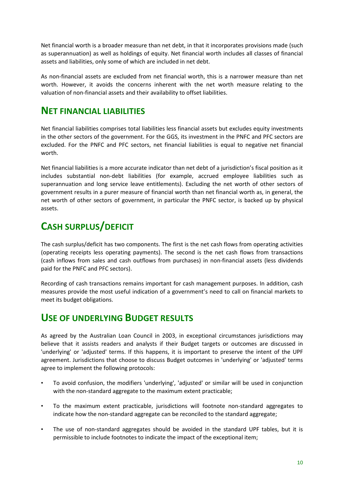Net financial worth is a broader measure than net debt, in that it incorporates provisions made (such as superannuation) as well as holdings of equity. Net financial worth includes all classes of financial assets and liabilities, only some of which are included in net debt.

As non-financial assets are excluded from net financial worth, this is a narrower measure than net worth. However, it avoids the concerns inherent with the net worth measure relating to the valuation of non-financial assets and their availability to offset liabilities.

# <span id="page-13-0"></span>**NET FINANCIAL LIABILITIES**

Net financial liabilities comprises total liabilities less financial assets but excludes equity investments in the other sectors of the government. For the GGS, its investment in the PNFC and PFC sectors are excluded. For the PNFC and PFC sectors, net financial liabilities is equal to negative net financial worth.

Net financial liabilities is a more accurate indicator than net debt of a jurisdiction's fiscal position as it includes substantial non-debt liabilities (for example, accrued employee liabilities such as superannuation and long service leave entitlements). Excluding the net worth of other sectors of government results in a purer measure of financial worth than net financial worth as, in general, the net worth of other sectors of government, in particular the PNFC sector, is backed up by physical assets.

# <span id="page-13-1"></span>**CASH SURPLUS/DEFICIT**

The cash surplus/deficit has two components. The first is the net cash flows from operating activities (operating receipts less operating payments). The second is the net cash flows from transactions (cash inflows from sales and cash outflows from purchases) in non-financial assets (less dividends paid for the PNFC and PFC sectors).

Recording of cash transactions remains important for cash management purposes. In addition, cash measures provide the most useful indication of a government's need to call on financial markets to meet its budget obligations.

# <span id="page-13-2"></span>**USE OF UNDERLYING BUDGET RESULTS**

As agreed by the Australian Loan Council in 2003, in exceptional circumstances jurisdictions may believe that it assists readers and analysts if their Budget targets or outcomes are discussed in 'underlying' or 'adjusted' terms. If this happens, it is important to preserve the intent of the UPF agreement. Jurisdictions that choose to discuss Budget outcomes in 'underlying' or 'adjusted' terms agree to implement the following protocols:

- To avoid confusion, the modifiers 'underlying', 'adjusted' or similar will be used in conjunction with the non-standard aggregate to the maximum extent practicable;
- To the maximum extent practicable, jurisdictions will footnote non-standard aggregates to indicate how the non-standard aggregate can be reconciled to the standard aggregate;
- The use of non-standard aggregates should be avoided in the standard UPF tables, but it is permissible to include footnotes to indicate the impact of the exceptional item;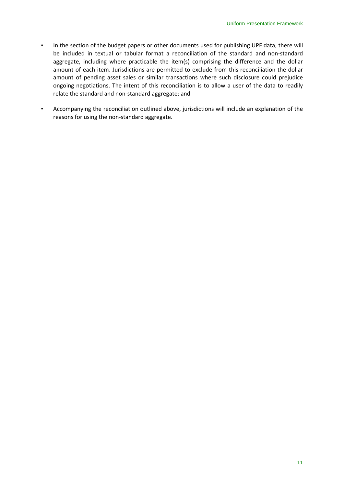- In the section of the budget papers or other documents used for publishing UPF data, there will be included in textual or tabular format a reconciliation of the standard and non-standard aggregate, including where practicable the item(s) comprising the difference and the dollar amount of each item. Jurisdictions are permitted to exclude from this reconciliation the dollar amount of pending asset sales or similar transactions where such disclosure could prejudice ongoing negotiations. The intent of this reconciliation is to allow a user of the data to readily relate the standard and non-standard aggregate; and
- Accompanying the reconciliation outlined above, jurisdictions will include an explanation of the reasons for using the non-standard aggregate.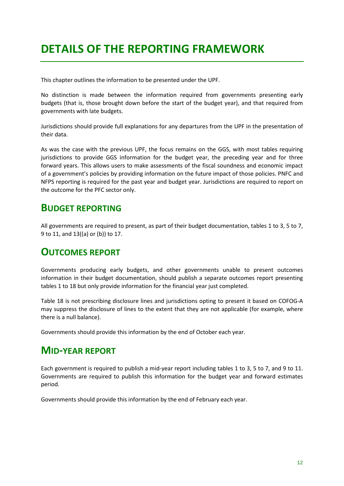# <span id="page-15-0"></span>**DETAILS OF THE REPORTING FRAMEWORK**

This chapter outlines the information to be presented under the UPF.

No distinction is made between the information required from governments presenting early budgets (that is, those brought down before the start of the budget year), and that required from governments with late budgets.

Jurisdictions should provide full explanations for any departures from the UPF in the presentation of their data.

As was the case with the previous UPF, the focus remains on the GGS, with most tables requiring jurisdictions to provide GGS information for the budget year, the preceding year and for three forward years. This allows users to make assessments of the fiscal soundness and economic impact of a government's policies by providing information on the future impact of those policies. PNFC and NFPS reporting is required for the past year and budget year. Jurisdictions are required to report on the outcome for the PFC sector only.

# <span id="page-15-1"></span>**BUDGET REPORTING**

All governments are required to present, as part of their budget documentation, tables 1 to 3, 5 to 7, 9 to 11, and 13((a) or (b)) to 17.

# <span id="page-15-2"></span>**OUTCOMES REPORT**

Governments producing early budgets, and other governments unable to present outcomes information in their budget documentation, should publish a separate outcomes report presenting tables 1 to 18 but only provide information for the financial year just completed.

Table 18 is not prescribing disclosure lines and jurisdictions opting to present it based on COFOG-A may suppress the disclosure of lines to the extent that they are not applicable (for example, where there is a null balance).

Governments should provide this information by the end of October each year.

# <span id="page-15-3"></span>**MID-YEAR REPORT**

Each government is required to publish a mid-year report including tables 1 to 3, 5 to 7, and 9 to 11. Governments are required to publish this information for the budget year and forward estimates period.

Governments should provide this information by the end of February each year.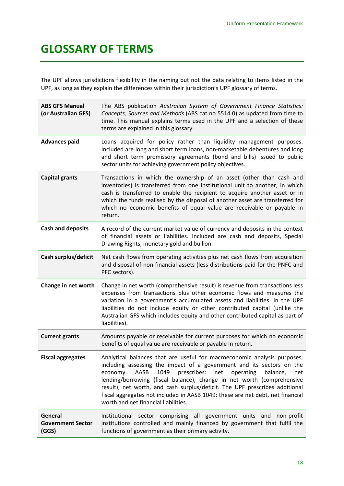# <span id="page-16-0"></span>**GLOSSARY OF TERMS**

The UPF allows jurisdictions flexibility in the naming but not the data relating to items listed in the UPF, as long as they explain the differences within their jurisdiction's UPF glossary of terms.

| <b>ABS GFS Manual</b><br>(or Australian GFS) | The ABS publication Australian System of Government Finance Statistics:<br>Concepts, Sources and Methods (ABS cat no 5514.0) as updated from time to<br>time. This manual explains terms used in the UPF and a selection of these<br>terms are explained in this glossary.                                                                                                                                                                                                                                          |
|----------------------------------------------|---------------------------------------------------------------------------------------------------------------------------------------------------------------------------------------------------------------------------------------------------------------------------------------------------------------------------------------------------------------------------------------------------------------------------------------------------------------------------------------------------------------------|
| <b>Advances paid</b>                         | Loans acquired for policy rather than liquidity management purposes.<br>Included are long and short term loans, non-marketable debentures and long<br>and short term promissory agreements (bond and bills) issued to public<br>sector units for achieving government policy objectives.                                                                                                                                                                                                                            |
| <b>Capital grants</b>                        | Transactions in which the ownership of an asset (other than cash and<br>inventories) is transferred from one institutional unit to another, in which<br>cash is transferred to enable the recipient to acquire another asset or in<br>which the funds realised by the disposal of another asset are transferred for<br>which no economic benefits of equal value are receivable or payable in<br>return.                                                                                                            |
| <b>Cash and deposits</b>                     | A record of the current market value of currency and deposits in the context<br>of financial assets or liabilities. Included are cash and deposits, Special<br>Drawing Rights, monetary gold and bullion.                                                                                                                                                                                                                                                                                                           |
| Cash surplus/deficit                         | Net cash flows from operating activities plus net cash flows from acquisition<br>and disposal of non-financial assets (less distributions paid for the PNFC and<br>PFC sectors).                                                                                                                                                                                                                                                                                                                                    |
| Change in net worth                          | Change in net worth (comprehensive result) is revenue from transactions less<br>expenses from transactions plus other economic flows and measures the<br>variation in a government's accumulated assets and liabilities. In the UPF<br>liabilities do not include equity or other contributed capital (unlike the<br>Australian GFS which includes equity and other contributed capital as part of<br>liabilities).                                                                                                 |
| <b>Current grants</b>                        | Amounts payable or receivable for current purposes for which no economic<br>benefits of equal value are receivable or payable in return.                                                                                                                                                                                                                                                                                                                                                                            |
| <b>Fiscal aggregates</b>                     | Analytical balances that are useful for macroeconomic analysis purposes,<br>including assessing the impact of a government and its sectors on the<br>1049<br>prescribes: net<br>operating<br>economy.<br>AASB<br>balance,<br>net<br>lending/borrowing (fiscal balance), change in net worth (comprehensive<br>result), net worth, and cash surplus/deficit. The UPF prescribes additional<br>fiscal aggregates not included in AASB 1049: these are net debt, net financial<br>worth and net financial liabilities. |
| General<br><b>Government Sector</b><br>(GGS) | Institutional sector comprising all government units and non-profit<br>institutions controlled and mainly financed by government that fulfil the<br>functions of government as their primary activity.                                                                                                                                                                                                                                                                                                              |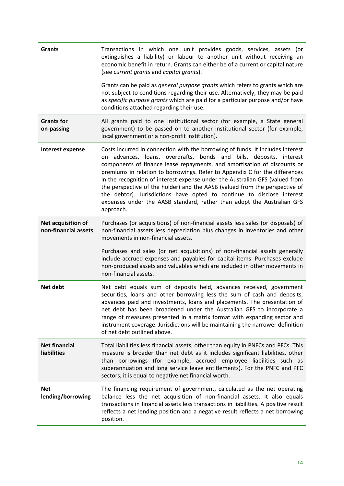| <b>Grants</b>                              | Transactions in which one unit provides goods, services, assets (or<br>extinguishes a liability) or labour to another unit without receiving an<br>economic benefit in return. Grants can either be of a current or capital nature<br>(see current grants and capital grants).                                                                                                                                                                                                                                                                                                                                                                   |
|--------------------------------------------|--------------------------------------------------------------------------------------------------------------------------------------------------------------------------------------------------------------------------------------------------------------------------------------------------------------------------------------------------------------------------------------------------------------------------------------------------------------------------------------------------------------------------------------------------------------------------------------------------------------------------------------------------|
|                                            | Grants can be paid as general purpose grants which refers to grants which are<br>not subject to conditions regarding their use. Alternatively, they may be paid<br>as specific purpose grants which are paid for a particular purpose and/or have<br>conditions attached regarding their use.                                                                                                                                                                                                                                                                                                                                                    |
| <b>Grants for</b><br>on-passing            | All grants paid to one institutional sector (for example, a State general<br>government) to be passed on to another institutional sector (for example,<br>local government or a non-profit institution).                                                                                                                                                                                                                                                                                                                                                                                                                                         |
| Interest expense                           | Costs incurred in connection with the borrowing of funds. It includes interest<br>on advances, loans, overdrafts, bonds and bills, deposits, interest<br>components of finance lease repayments, and amortisation of discounts or<br>premiums in relation to borrowings. Refer to Appendix C for the differences<br>in the recognition of interest expense under the Australian GFS (valued from<br>the perspective of the holder) and the AASB (valued from the perspective of<br>the debtor). Jurisdictions have opted to continue to disclose interest<br>expenses under the AASB standard, rather than adopt the Australian GFS<br>approach. |
| Net acquisition of<br>non-financial assets | Purchases (or acquisitions) of non-financial assets less sales (or disposals) of<br>non-financial assets less depreciation plus changes in inventories and other<br>movements in non-financial assets.                                                                                                                                                                                                                                                                                                                                                                                                                                           |
|                                            | Purchases and sales (or net acquisitions) of non-financial assets generally<br>include accrued expenses and payables for capital items. Purchases exclude<br>non-produced assets and valuables which are included in other movements in<br>non-financial assets.                                                                                                                                                                                                                                                                                                                                                                                 |
| Net debt                                   | Net debt equals sum of deposits held, advances received, government<br>securities, loans and other borrowing less the sum of cash and deposits,<br>advances paid and investments, loans and placements. The presentation of<br>net debt has been broadened under the Australian GFS to incorporate a<br>range of measures presented in a matrix format with expanding sector and<br>instrument coverage. Jurisdictions will be maintaining the narrower definition<br>of net debt outlined above.                                                                                                                                                |
| <b>Net financial</b><br><b>liabilities</b> | Total liabilities less financial assets, other than equity in PNFCs and PFCs. This<br>measure is broader than net debt as it includes significant liabilities, other<br>than borrowings (for example, accrued employee liabilities such as<br>superannuation and long service leave entitlements). For the PNFC and PFC<br>sectors, it is equal to negative net financial worth.                                                                                                                                                                                                                                                                 |
| <b>Net</b><br>lending/borrowing            | The financing requirement of government, calculated as the net operating<br>balance less the net acquisition of non-financial assets. It also equals<br>transactions in financial assets less transactions in liabilities. A positive result<br>reflects a net lending position and a negative result reflects a net borrowing<br>position.                                                                                                                                                                                                                                                                                                      |
|                                            |                                                                                                                                                                                                                                                                                                                                                                                                                                                                                                                                                                                                                                                  |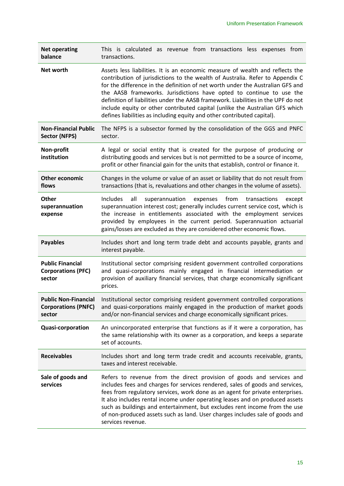| <b>Net operating</b><br>balance                                     | This is calculated as revenue from transactions less expenses from<br>transactions.                                                                                                                                                                                                                                                                                                                                                                                                                                                                                      |
|---------------------------------------------------------------------|--------------------------------------------------------------------------------------------------------------------------------------------------------------------------------------------------------------------------------------------------------------------------------------------------------------------------------------------------------------------------------------------------------------------------------------------------------------------------------------------------------------------------------------------------------------------------|
| Net worth                                                           | Assets less liabilities. It is an economic measure of wealth and reflects the<br>contribution of jurisdictions to the wealth of Australia. Refer to Appendix C<br>for the difference in the definition of net worth under the Australian GFS and<br>the AASB frameworks. Jurisdictions have opted to continue to use the<br>definition of liabilities under the AASB framework. Liabilities in the UPF do not<br>include equity or other contributed capital (unlike the Australian GFS which<br>defines liabilities as including equity and other contributed capital). |
| <b>Non-Financial Public</b><br><b>Sector (NFPS)</b>                 | The NFPS is a subsector formed by the consolidation of the GGS and PNFC<br>sector.                                                                                                                                                                                                                                                                                                                                                                                                                                                                                       |
| Non-profit<br>institution                                           | A legal or social entity that is created for the purpose of producing or<br>distributing goods and services but is not permitted to be a source of income,<br>profit or other financial gain for the units that establish, control or finance it.                                                                                                                                                                                                                                                                                                                        |
| <b>Other economic</b><br>flows                                      | Changes in the volume or value of an asset or liability that do not result from<br>transactions (that is, revaluations and other changes in the volume of assets).                                                                                                                                                                                                                                                                                                                                                                                                       |
| Other<br>superannuation<br>expense                                  | Includes<br>all<br>from<br>superannuation<br>expenses<br>transactions<br>except<br>superannuation interest cost; generally includes current service cost, which is<br>the increase in entitlements associated with the employment services<br>provided by employees in the current period. Superannuation actuarial<br>gains/losses are excluded as they are considered other economic flows.                                                                                                                                                                            |
| <b>Payables</b>                                                     | Includes short and long term trade debt and accounts payable, grants and<br>interest payable.                                                                                                                                                                                                                                                                                                                                                                                                                                                                            |
| <b>Public Financial</b><br><b>Corporations (PFC)</b><br>sector      | Institutional sector comprising resident government controlled corporations<br>and quasi-corporations mainly engaged in financial intermediation or<br>provision of auxiliary financial services, that charge economically significant                                                                                                                                                                                                                                                                                                                                   |
|                                                                     | prices.                                                                                                                                                                                                                                                                                                                                                                                                                                                                                                                                                                  |
| <b>Public Non-Financial</b><br><b>Corporations (PNFC)</b><br>sector | Institutional sector comprising resident government controlled corporations<br>and quasi-corporations mainly engaged in the production of market goods<br>and/or non-financial services and charge economically significant prices.                                                                                                                                                                                                                                                                                                                                      |
| <b>Quasi-corporation</b>                                            | An unincorporated enterprise that functions as if it were a corporation, has<br>the same relationship with its owner as a corporation, and keeps a separate<br>set of accounts.                                                                                                                                                                                                                                                                                                                                                                                          |
| <b>Receivables</b>                                                  | Includes short and long term trade credit and accounts receivable, grants,<br>taxes and interest receivable.                                                                                                                                                                                                                                                                                                                                                                                                                                                             |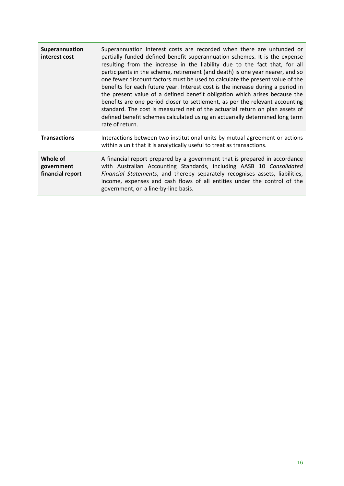| Superannuation<br>interest cost            | Superannuation interest costs are recorded when there are unfunded or<br>partially funded defined benefit superannuation schemes. It is the expense<br>resulting from the increase in the liability due to the fact that, for all<br>participants in the scheme, retirement (and death) is one year nearer, and so<br>one fewer discount factors must be used to calculate the present value of the<br>benefits for each future year. Interest cost is the increase during a period in<br>the present value of a defined benefit obligation which arises because the<br>benefits are one period closer to settlement, as per the relevant accounting<br>standard. The cost is measured net of the actuarial return on plan assets of<br>defined benefit schemes calculated using an actuarially determined long term<br>rate of return. |
|--------------------------------------------|-----------------------------------------------------------------------------------------------------------------------------------------------------------------------------------------------------------------------------------------------------------------------------------------------------------------------------------------------------------------------------------------------------------------------------------------------------------------------------------------------------------------------------------------------------------------------------------------------------------------------------------------------------------------------------------------------------------------------------------------------------------------------------------------------------------------------------------------|
| <b>Transactions</b>                        | Interactions between two institutional units by mutual agreement or actions<br>within a unit that it is analytically useful to treat as transactions.                                                                                                                                                                                                                                                                                                                                                                                                                                                                                                                                                                                                                                                                                   |
| Whole of<br>government<br>financial report | A financial report prepared by a government that is prepared in accordance<br>with Australian Accounting Standards, including AASB 10 Consolidated<br>Financial Statements, and thereby separately recognises assets, liabilities,<br>income, expenses and cash flows of all entities under the control of the<br>government, on a line-by-line basis.                                                                                                                                                                                                                                                                                                                                                                                                                                                                                  |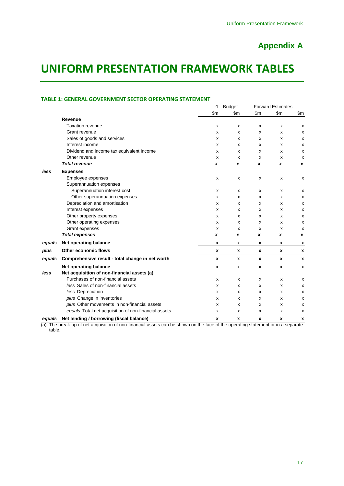# **Appendix A**

# <span id="page-20-1"></span><span id="page-20-0"></span>**UNIFORM PRESENTATION FRAMEWORK TABLES**

#### **TABLE 1: GENERAL GOVERNMENT SECTOR OPERATING STATEMENT**

|        |                                                      | $-1$               | <b>Budget</b>      |                    | <b>Forward Estimates</b> |                |
|--------|------------------------------------------------------|--------------------|--------------------|--------------------|--------------------------|----------------|
|        |                                                      | \$m                | $\mathsf{Sm}$      | \$m                | \$m\$                    | $\mathsf{Sm}$  |
|        | Revenue                                              |                    |                    |                    |                          |                |
|        | <b>Taxation revenue</b>                              | х                  | X                  | х                  | x                        | х              |
|        | Grant revenue                                        | х                  | X                  | х                  | x                        | х              |
|        | Sales of goods and services                          | x                  | х                  | x                  | x                        | X              |
|        | Interest income                                      | X                  | X                  | x                  | x                        | x              |
|        | Dividend and income tax equivalent income            | х                  | х                  | х                  | х                        | x              |
|        | Other revenue                                        | x                  | х                  | х                  | х                        | х              |
|        | <b>Total revenue</b>                                 | x                  | X                  | x                  | x                        | x              |
| less   | <b>Expenses</b>                                      |                    |                    |                    |                          |                |
|        | Employee expenses                                    | x                  | x                  | x                  | x                        | x              |
|        | Superannuation expenses                              |                    |                    |                    |                          |                |
|        | Superannuation interest cost                         | x                  | x                  | x                  | x                        | $\pmb{\times}$ |
|        | Other superannuation expenses                        | х                  | х                  | х                  | х                        | x              |
|        | Depreciation and amortisation                        | x                  | х                  | х                  | х                        | x              |
|        | Interest expenses                                    | x                  | X                  | х                  | x                        | х              |
|        | Other property expenses                              | x                  | x                  | х                  | x                        | x              |
|        | Other operating expenses                             | X                  | x                  | x                  | x                        | x              |
|        | Grant expenses                                       | х                  | х                  | x                  | х                        | х              |
|        | <b>Total expenses</b>                                | x                  | x                  | x                  | x                        | x              |
| equals | Net operating balance                                | x                  | x                  | x                  | x                        | X              |
| plus   | <b>Other economic flows</b>                          | x                  | x                  | x                  | X                        | x              |
| equals | Comprehensive result - total change in net worth     | x                  | x                  | x                  | x                        | X              |
|        | <b>Net operating balance</b>                         | $\pmb{\mathsf{x}}$ | $\pmb{\mathsf{x}}$ | $\pmb{\mathsf{x}}$ | $\pmb{\chi}$             | $\pmb{\chi}$   |
| less   | Net acquisition of non-financial assets (a)          |                    |                    |                    |                          |                |
|        | Purchases of non-financial assets                    | x                  | х                  | х                  | x                        | x              |
|        | less Sales of non-financial assets                   | x                  | x                  | x                  | x                        | x              |
|        | less Depreciation                                    | х                  | х                  | х                  | х                        | $\pmb{\times}$ |
|        | plus Change in inventories                           | х                  | x                  | х                  | х                        | $\pmb{\times}$ |
|        | plus Other movements in non-financial assets         | X                  | X                  | x                  | x                        | X              |
|        | equals Total net acquisition of non-financial assets | x                  | x                  | х                  | х                        | х              |
| equals | Net lending / borrowing (fiscal balance)             | x                  | x                  | x                  | x                        | x              |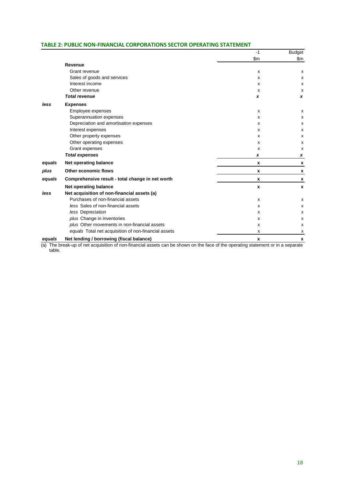#### **TABLE 2: PUBLIC NON-FINANCIAL CORPORATIONS SECTOR OPERATING STATEMENT**

|        |                                                      | $-1$                      | <b>Budget</b>    |
|--------|------------------------------------------------------|---------------------------|------------------|
|        |                                                      | \$m                       | \$m              |
|        | Revenue                                              |                           |                  |
|        | Grant revenue                                        | X                         | x                |
|        | Sales of goods and services                          | x                         | x                |
|        | Interest income                                      | x                         | x                |
|        | Other revenue                                        | X                         | х                |
|        | <b>Total revenue</b>                                 | x                         | x                |
| less   | <b>Expenses</b>                                      |                           |                  |
|        | Employee expenses                                    | x                         | x                |
|        | Superannuation expenses                              | X                         | x                |
|        | Depreciation and amortisation expenses               | x                         | х                |
|        | Interest expenses                                    | x                         | х                |
|        | Other property expenses                              | x                         | x                |
|        | Other operating expenses                             | x                         | x                |
|        | Grant expenses                                       | X                         | x                |
|        | <b>Total expenses</b>                                | x                         | x                |
| equals | Net operating balance                                | X                         | X                |
| plus   | Other economic flows                                 | x                         | X                |
| equals | Comprehensive result - total change in net worth     | X                         | X                |
|        | Net operating balance                                | $\pmb{\chi}$              | $\boldsymbol{x}$ |
| less   | Net acquisition of non-financial assets (a)          |                           |                  |
|        | Purchases of non-financial assets                    | $\boldsymbol{\mathsf{x}}$ | х                |
|        | less Sales of non-financial assets                   | x                         | x                |
|        | less Depreciation                                    | x                         | х                |
|        | plus Change in inventories                           | X                         | x                |
|        | plus Other movements in non-financial assets         | x                         | x                |
|        | equals Total net acquisition of non-financial assets | x                         | x                |
| equals | Net lending / borrowing (fiscal balance)             | X                         | X                |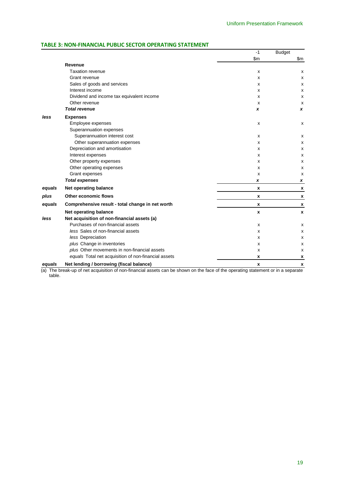### **TABLE 3: NON-FINANCIAL PUBLIC SECTOR OPERATING STATEMENT**

|        |                                                      | $-1$               | <b>Budget</b> |
|--------|------------------------------------------------------|--------------------|---------------|
|        |                                                      | \$m                | \$m           |
|        | Revenue                                              |                    |               |
|        | <b>Taxation revenue</b>                              | х                  | x             |
|        | Grant revenue                                        | X                  | x             |
|        | Sales of goods and services                          | X                  | x             |
|        | Interest income                                      | X                  | x             |
|        | Dividend and income tax equivalent income            | x                  | x             |
|        | Other revenue                                        | X                  | x             |
|        | <b>Total revenue</b>                                 | x                  | x             |
| less   | <b>Expenses</b>                                      |                    |               |
|        | Employee expenses                                    | X                  | x             |
|        | Superannuation expenses                              |                    |               |
|        | Superannuation interest cost                         | х                  | х             |
|        | Other superannuation expenses                        | x                  | x             |
|        | Depreciation and amortisation                        | X                  | x             |
|        | Interest expenses                                    | X                  | х             |
|        | Other property expenses                              | x                  | x             |
|        | Other operating expenses                             | X                  | x             |
|        | Grant expenses                                       | X                  | x             |
|        | <b>Total expenses</b>                                | x                  | x             |
| equals | Net operating balance                                | x                  | X             |
| plus   | <b>Other economic flows</b>                          | x                  | x             |
| equals | Comprehensive result - total change in net worth     | x                  | x             |
|        | Net operating balance                                | $\pmb{\mathsf{x}}$ | X             |
| less   | Net acquisition of non-financial assets (a)          |                    |               |
|        | Purchases of non-financial assets                    | X                  | x             |
|        | less Sales of non-financial assets                   | X                  | x             |
|        | less Depreciation                                    | х                  | x             |
|        | plus Change in inventories                           | X                  | x             |
|        | plus Other movements in non-financial assets         | X                  | x             |
|        | equals Total net acquisition of non-financial assets | x                  | x             |
| equals | Net lending / borrowing (fiscal balance)             | x                  | X             |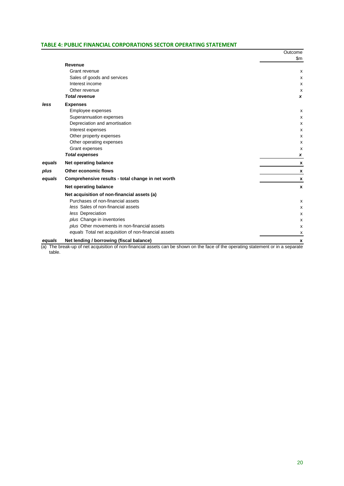#### **TABLE 4: PUBLIC FINANCIAL CORPORATIONS SECTOR OPERATING STATEMENT**

|                                                   | Outcome                                                                                         |
|---------------------------------------------------|-------------------------------------------------------------------------------------------------|
|                                                   | \$m                                                                                             |
| Revenue                                           |                                                                                                 |
| Grant revenue                                     | x                                                                                               |
| Sales of goods and services                       | х                                                                                               |
| Interest income                                   | X                                                                                               |
| Other revenue                                     | x                                                                                               |
| <b>Total revenue</b>                              | x                                                                                               |
| <b>Expenses</b>                                   |                                                                                                 |
| Employee expenses                                 | X                                                                                               |
| Superannuation expenses                           | X                                                                                               |
| Depreciation and amortisation                     | X                                                                                               |
| Interest expenses                                 | X                                                                                               |
| Other property expenses                           | x                                                                                               |
| Other operating expenses                          | x                                                                                               |
|                                                   | x                                                                                               |
|                                                   | x                                                                                               |
| Net operating balance                             | x                                                                                               |
| Other economic flows                              | X                                                                                               |
| Comprehensive results - total change in net worth | x                                                                                               |
| Net operating balance                             | X                                                                                               |
| Net acquisition of non-financial assets (a)       |                                                                                                 |
| Purchases of non-financial assets                 | X                                                                                               |
| less Sales of non-financial assets                | X                                                                                               |
| less Depreciation                                 | x                                                                                               |
| plus Change in inventories                        | X                                                                                               |
| plus Other movements in non-financial assets      | X                                                                                               |
|                                                   | x                                                                                               |
| Net lending / borrowing (fiscal balance)          | X                                                                                               |
|                                                   | Grant expenses<br><b>Total expenses</b><br>equals Total net acquisition of non-financial assets |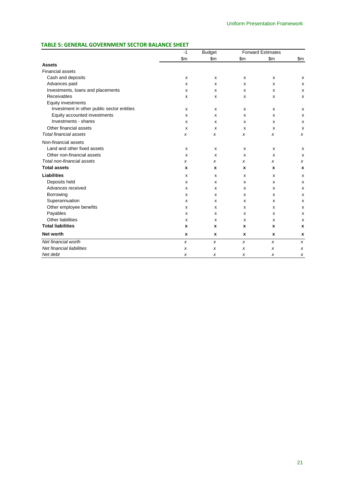### **TABLE 5: GENERAL GOVERNMENT SECTOR BALANCE SHEET**

|                                            | $-1$ | <b>Budget</b> |       | <b>Forward Estimates</b> |               |
|--------------------------------------------|------|---------------|-------|--------------------------|---------------|
|                                            | \$m  | $\mathsf{Sm}$ | \$m\$ | \$m\$                    | $\mathsf{Sm}$ |
| <b>Assets</b>                              |      |               |       |                          |               |
| <b>Financial assets</b>                    |      |               |       |                          |               |
| Cash and deposits                          | x    | x             | X     | X                        | X             |
| Advances paid                              | x    | x             | X     | X                        | x             |
| Investments, loans and placements          | x    | x             | X     | X                        | x             |
| Receivables                                | x    | x             | X     | X                        | x             |
| Equity investments                         |      |               |       |                          |               |
| Investment in other public sector entities | x    | x             | X     | X                        | x             |
| Equity accounted investments               | x    | x             | x     | х                        | x             |
| Investments - shares                       | x    | x             | X     | х                        | x             |
| Other financial assets                     | x    | X             | X     | X                        | x             |
| <b>Total financial assets</b>              | x    | x             | x     | X                        | x             |
| Non-financial assets                       |      |               |       |                          |               |
| Land and other fixed assets                | x    | x             | X     | X                        | X             |
| Other non-financial assets                 | x    | x             | X     | X                        | x             |
| Total non-financial assets                 | x    | x             | x     | x                        | x             |
| <b>Total assets</b>                        | x    | X             | x     | X                        | X             |
| <b>Liabilities</b>                         | x    | x             | X     | X                        | x             |
| Deposits held                              | x    | x             | X     | X                        | x             |
| Advances received                          | x    | x             | X     | X                        | x             |
| Borrowing                                  | x    | x             | x     | X                        | x             |
| Superannuation                             | x    | x             | x     | X                        | x             |
| Other employee benefits                    | x    | x             | X     | х                        | x             |
| Payables                                   | x    | x             | X     | X                        | x             |
| Other liabilities                          | x    | x             | X     | X                        | x             |
| <b>Total liabilities</b>                   | x    | X             | x     | X                        | X             |
| Net worth                                  | X    | x             | x     | x                        | X             |
| Net financial worth                        | x    | x             | x     | $\pmb{\chi}$             | x             |
| Net financial liabilities                  | x    | x             | x     | $\pmb{\chi}$             | x             |
| Net debt                                   | x    | x             | x     | $\pmb{\chi}$             | x             |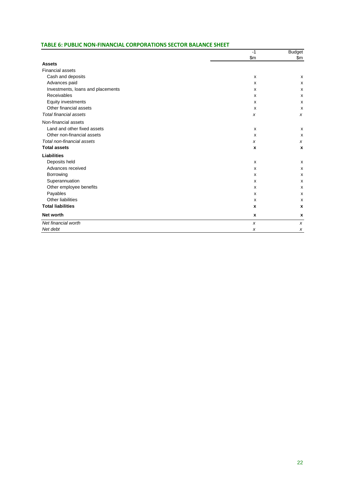#### **TABLE 6: PUBLIC NON-FINANCIAL CORPORATIONS SECTOR BALANCE SHEET**

|                                   | $-1$                      | <b>Budget</b>    |
|-----------------------------------|---------------------------|------------------|
|                                   | \$m\$                     | \$m\$            |
| <b>Assets</b>                     |                           |                  |
| <b>Financial assets</b>           |                           |                  |
| Cash and deposits                 | X                         | X                |
| Advances paid                     | $\boldsymbol{\mathsf{x}}$ | X                |
| Investments, loans and placements | X                         | X                |
| Receivables                       | X                         | x                |
| Equity investments                | $\boldsymbol{\mathsf{x}}$ | X                |
| Other financial assets            | х                         | X                |
| <b>Total financial assets</b>     | x                         | $\boldsymbol{x}$ |
| Non-financial assets              |                           |                  |
| Land and other fixed assets       | X                         | X                |
| Other non-financial assets        | x                         | X                |
| Total non-financial assets        | x                         | $\boldsymbol{x}$ |
| <b>Total assets</b>               | X                         | $\boldsymbol{x}$ |
| <b>Liabilities</b>                |                           |                  |
| Deposits held                     | $\boldsymbol{\mathsf{x}}$ | X                |
| Advances received                 | X                         | X                |
| Borrowing                         | X                         | x                |
| Superannuation                    | $\mathsf{x}$              | X                |
| Other employee benefits           | x                         | X                |
| Payables                          | $\boldsymbol{\mathsf{x}}$ | X                |
| Other liabilities                 | $\mathsf{x}$              | X                |
| <b>Total liabilities</b>          | X                         | X                |
| Net worth                         | X                         | X                |
| Net financial worth               | X                         | $\boldsymbol{x}$ |
| Net debt                          | x                         | x                |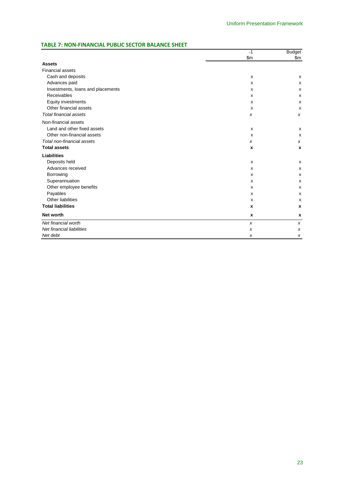#### **TABLE 7: NON-FINANCIAL PUBLIC SECTOR BALANCE SHEET**

|                                   | $-1$             | <b>Budget</b>    |
|-----------------------------------|------------------|------------------|
|                                   | \$m              | \$m\$            |
| <b>Assets</b>                     |                  |                  |
| <b>Financial assets</b>           |                  |                  |
| Cash and deposits                 | X                | X                |
| Advances paid                     | X                | x                |
| Investments, loans and placements | X                | x                |
| Receivables                       | X                | x                |
| Equity investments                | X                | x                |
| Other financial assets            | X                | X                |
| <b>Total financial assets</b>     | x                | x                |
| Non-financial assets              |                  |                  |
| Land and other fixed assets       | x                | x                |
| Other non-financial assets        | x                | X                |
| Total non-financial assets        | x                | x                |
| <b>Total assets</b>               | X                | $\boldsymbol{x}$ |
| <b>Liabilities</b>                |                  |                  |
| Deposits held                     | X                | x                |
| Advances received                 | X                | x                |
| Borrowing                         | x                | x                |
| Superannuation                    | X                | x                |
| Other employee benefits           | х                | x                |
| Payables                          | X                | x                |
| Other liabilities                 | X                | x                |
| <b>Total liabilities</b>          | x                | $\boldsymbol{x}$ |
| <b>Net worth</b>                  | x                | X                |
| Net financial worth               | $\boldsymbol{x}$ | x                |
| Net financial liabilities         | x                | x                |
| Net debt                          | X                | x                |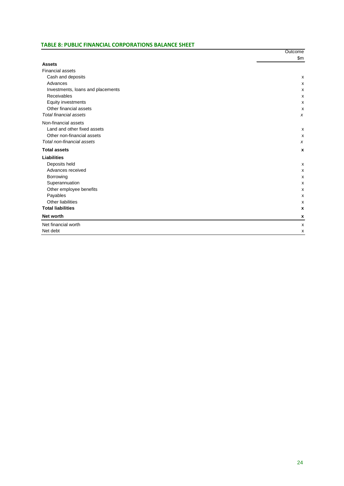#### **TABLE 8: PUBLIC FINANCIAL CORPORATIONS BALANCE SHEET**

|                                   | Outcome<br>\$m\$ |
|-----------------------------------|------------------|
| <b>Assets</b>                     |                  |
| <b>Financial assets</b>           |                  |
| Cash and deposits                 | X                |
| Advances                          | x                |
| Investments, loans and placements | x                |
| Receivables                       | x                |
| Equity investments                | X                |
| Other financial assets            | X                |
| <b>Total financial assets</b>     | X                |
| Non-financial assets              |                  |
| Land and other fixed assets       | х                |
| Other non-financial assets        | X                |
| Total non-financial assets        | X                |
| <b>Total assets</b>               | X                |
| <b>Liabilities</b>                |                  |
| Deposits held                     | х                |
| Advances received                 | x                |
| Borrowing                         | x                |
| Superannuation                    | x                |
| Other employee benefits           | x                |
| Payables                          | x                |
| Other liabilities                 | x                |
| <b>Total liabilities</b>          | X                |
| <b>Net worth</b>                  | X                |
| Net financial worth               | x                |
| Net debt                          | x                |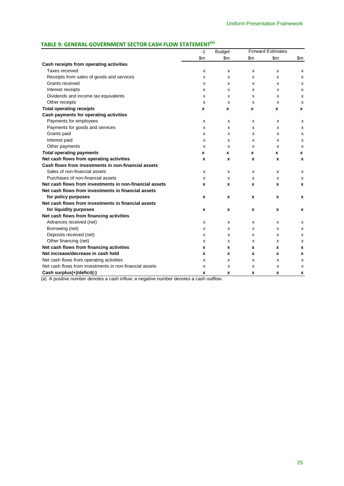# **TABLE 9: GENERAL GOVERNMENT SECTOR CASH FLOW STATEMENT(a)**

|                                                         | $-1$  | <b>Budget</b> |               | <b>Forward Estimates</b> |       |
|---------------------------------------------------------|-------|---------------|---------------|--------------------------|-------|
|                                                         | \$m\$ | \$m\$         | $\mathsf{Sm}$ | \$m\$                    | \$m\$ |
| Cash receipts from operating activities                 |       |               |               |                          |       |
| Taxes received                                          | x     | x             | x             | x                        | х     |
| Receipts from sales of goods and services               | x     | x             | x             | x                        | x     |
| Grants received                                         | X     | x             | x             | X                        | X     |
| Interest receipts                                       | x     | x             | x             | X                        | X     |
| Dividends and income tax equivalents                    | x     | x             | x             | X                        | x     |
| Other receipts                                          | х     | x             | x             | x                        | х     |
| <b>Total operating receipts</b>                         | x     | x             | x             | x                        | x     |
| Cash payments for operating activities                  |       |               |               |                          |       |
| Payments for employees                                  | X     | x             | x             | x                        | X     |
| Payments for goods and services                         | х     | x             | x             | X                        | x     |
| Grants paid                                             | X     | x             | x             | x                        | X     |
| Interest paid                                           | X     | x             | x             | X                        | X     |
| Other payments                                          | X     | x             | x             | X                        | X     |
| <b>Total operating payments</b>                         | x     | x             | x             | x                        | x     |
| Net cash flows from operating activities                | x     | x             | x             | x                        | X     |
| Cash flows from investments in non-financial assets     |       |               |               |                          |       |
| Sales of non-financial assets                           | x     | x             | x             | X                        | х     |
| Purchases of non-financial assets                       | х     | x             | x             | x                        | x     |
| Net cash flows from investments in non-financial assets | x     | x             | x             | X                        | X     |
| Net cash flows from investments in financial assets     |       |               |               |                          |       |
| for policy purposes                                     | x     | x             | X             | X                        | x     |
| Net cash flows from investments in financial assets     |       |               |               |                          |       |
| for liquidity purposes                                  | x     | x             | x             | x                        | x     |
| Net cash flows from financing activities                |       |               |               |                          |       |
| Advances received (net)                                 | x     | x             | x             | x                        | х     |
| Borrowing (net)                                         | x     | x             | x             | x                        | x     |
| Deposits received (net)                                 | x     | x             | x             | x                        | x     |
| Other financing (net)                                   | x     | x             | x             | x                        | x     |
| Net cash flows from financing activities                | x     | x             | x             | x                        | X     |
| Net increase/decrease in cash held                      | x     | x             | x             | x                        | x     |
| Net cash flows from operating activities                | х     | x             | x             | x                        | х     |
| Net cash flows from investments in non-financial assets | х     | x             | x             | x                        | х     |
| Cash surplus(+)/deficit(-)                              | x     | x             | x             | x                        | x     |

(a) A positive number denotes a cash inflow; a negative number denotes a cash outflow.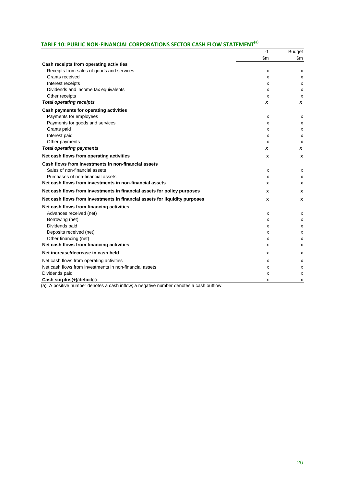# **TABLE 10: PUBLIC NON-FINANCIAL CORPORATIONS SECTOR CASH FLOW STATEMENT(a)**

|                                                                            | $-1$          | <b>Budget</b> |
|----------------------------------------------------------------------------|---------------|---------------|
|                                                                            | $\mathsf{Sm}$ | $\mathsf{Sm}$ |
| Cash receipts from operating activities                                    |               |               |
| Receipts from sales of goods and services                                  | x             | х             |
| Grants received                                                            | х             | х             |
| Interest receipts                                                          | X             | x             |
| Dividends and income tax equivalents                                       | X             | x             |
| Other receipts                                                             | X             | х             |
| <b>Total operating receipts</b>                                            | X             | x             |
| Cash payments for operating activities                                     |               |               |
| Payments for employees                                                     | X             | х             |
| Payments for goods and services                                            | X             | х             |
| Grants paid                                                                | х             | х             |
| Interest paid                                                              | X             | х             |
| Other payments                                                             | X             | x             |
| <b>Total operating payments</b>                                            | x             | x             |
| Net cash flows from operating activities                                   | x             | x             |
| Cash flows from investments in non-financial assets                        |               |               |
| Sales of non-financial assets                                              | X             | x             |
| Purchases of non-financial assets                                          | х             | х             |
| Net cash flows from investments in non-financial assets                    | x             | x             |
| Net cash flows from investments in financial assets for policy purposes    | x             | X             |
| Net cash flows from investments in financial assets for liquidity purposes | x             | x             |
| Net cash flows from financing activities                                   |               |               |
| Advances received (net)                                                    | X             | x             |
| Borrowing (net)                                                            | x             | x             |
| Dividends paid                                                             | X             | x             |
| Deposits received (net)                                                    | X             | x             |
| Other financing (net)                                                      | X             | x             |
| Net cash flows from financing activities                                   | x             | X             |
| Net increase/decrease in cash held                                         | x             | x             |
| Net cash flows from operating activities                                   | x             | х             |
| Net cash flows from investments in non-financial assets                    | х             | х             |
| Dividends paid                                                             | x             | x             |
| Cash surplus(+)/deficit(-)                                                 | x             | x             |

(a) A positive number denotes a cash inflow; a negative number denotes a cash outflow.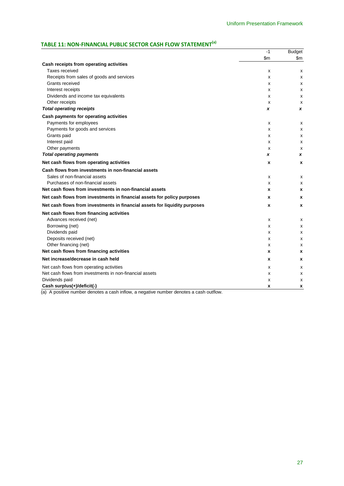# **TABLE 11: NON-FINANCIAL PUBLIC SECTOR CASH FLOW STATEMENT(a)**

|                                                                            | $-1$  | <b>Budget</b> |
|----------------------------------------------------------------------------|-------|---------------|
|                                                                            | \$m\$ | \$m\$         |
| Cash receipts from operating activities                                    |       |               |
| Taxes received                                                             | х     | x             |
| Receipts from sales of goods and services                                  | X     | X             |
| Grants received                                                            | X     | X             |
| Interest receipts                                                          | X     | x             |
| Dividends and income tax equivalents                                       | х     | x             |
| Other receipts                                                             | x     | х             |
| <b>Total operating receipts</b>                                            | x     | x             |
| Cash payments for operating activities                                     |       |               |
| Payments for employees                                                     | х     | x             |
| Payments for goods and services                                            | x     | X             |
| Grants paid                                                                | X     | x             |
| Interest paid                                                              | x     | x             |
| Other payments                                                             | X     | х             |
| <b>Total operating payments</b>                                            | x     | x             |
| Net cash flows from operating activities                                   | x     | X             |
| Cash flows from investments in non-financial assets                        |       |               |
| Sales of non-financial assets                                              | x     | x             |
| Purchases of non-financial assets                                          | х     | х             |
| Net cash flows from investments in non-financial assets                    | x     | x             |
| Net cash flows from investments in financial assets for policy purposes    | x     | x             |
| Net cash flows from investments in financial assets for liquidity purposes | x     | X             |
| Net cash flows from financing activities                                   |       |               |
| Advances received (net)                                                    | X     | X             |
| Borrowing (net)                                                            | X     | X             |
| Dividends paid                                                             | x     | x             |
| Deposits received (net)                                                    | x     | x             |
| Other financing (net)                                                      | x     | х             |
| Net cash flows from financing activities                                   | x     | X             |
| Net increase/decrease in cash held                                         | x     | x             |
| Net cash flows from operating activities                                   | X     | x             |
| Net cash flows from investments in non-financial assets                    | X     | x             |
| Dividends paid                                                             | х     | х             |
| Cash surplus(+)/deficit(-)                                                 | x     | x             |

(a) A positive number denotes a cash inflow, a negative number denotes a cash outflow.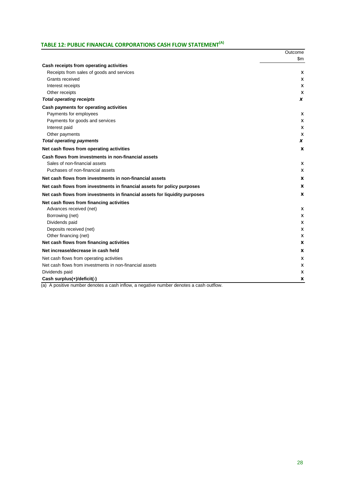# **TABLE 12: PUBLIC FINANCIAL CORPORATIONS CASH FLOW STATEMENT(A)**

|                                                                            | Outcome |
|----------------------------------------------------------------------------|---------|
|                                                                            | \$m     |
| Cash receipts from operating activities                                    |         |
| Receipts from sales of goods and services                                  | x       |
| Grants received                                                            | x       |
| Interest receipts                                                          | x       |
| Other receipts                                                             | x       |
| <b>Total operating receipts</b>                                            | x       |
| Cash payments for operating activities                                     |         |
| Payments for employees                                                     | х       |
| Payments for goods and services                                            | x       |
| Interest paid                                                              | х       |
| Other payments                                                             | x       |
| <b>Total operating payments</b>                                            | x       |
| Net cash flows from operating activities                                   | x       |
| Cash flows from investments in non-financial assets                        |         |
| Sales of non-financial assets                                              | х       |
| Puchases of non-financial assets                                           | x       |
| Net cash flows from investments in non-financial assets                    | x       |
| Net cash flows from investments in financial assets for policy purposes    | X       |
| Net cash flows from investments in financial assets for liquidity purposes | x       |
| Net cash flows from financing activities                                   |         |
| Advances received (net)                                                    | x       |
| Borrowing (net)                                                            | x       |
| Dividends paid                                                             | x       |
| Deposits received (net)                                                    | x       |
| Other financing (net)                                                      | х       |
| Net cash flows from financing activities                                   | x       |
| Net increase/decrease in cash held                                         | x       |
| Net cash flows from operating activities                                   | x       |
| Net cash flows from investments in non-financial assets                    | x       |
| Dividends paid                                                             | x       |
| Cash surplus(+)/deficit(-)                                                 | x       |

(a) A positive number denotes a cash inflow, a negative number denotes a cash outflow.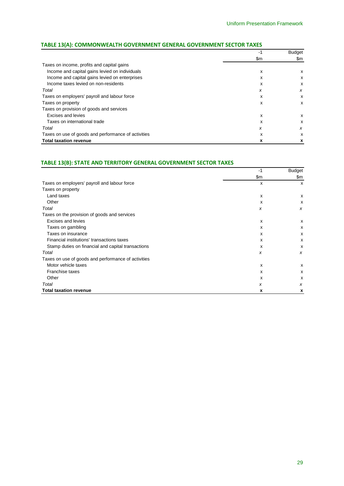|                                                     | -1  | <b>Budget</b> |
|-----------------------------------------------------|-----|---------------|
|                                                     | \$m | \$m           |
| Taxes on income, profits and capital gains          |     |               |
| Income and capital gains levied on individuals      | x   | x             |
| Income and capital gains levied on enterprises      | x   | X             |
| Income taxes levied on non-residents                | x   | X             |
| Total                                               | x   | X             |
| Taxes on employers' payroll and labour force        | x   | x             |
| Taxes on property                                   | x   | x             |
| Taxes on provision of goods and services            |     |               |
| Excises and levies                                  | x   | x             |
| Taxes on international trade                        | x   | X             |
| Total                                               | x   | x             |
| Taxes on use of goods and performance of activities | x   | X             |
| <b>Total taxation revenue</b>                       | X   | x             |

#### **TABLE 13(A): COMMONWEALTH GOVERNMENT GENERAL GOVERNMENT SECTOR TAXES**

#### **TABLE 13(B): STATE AND TERRITORY GENERAL GOVERNMENT SECTOR TAXES**

|                                                     | -1  | <b>Budget</b>             |
|-----------------------------------------------------|-----|---------------------------|
|                                                     | \$m | \$m                       |
| Taxes on employers' payroll and labour force        | x   | X                         |
| Taxes on property                                   |     |                           |
| Land taxes                                          | х   | х                         |
| Other                                               | x   | x                         |
| Total                                               | x   | X                         |
| Taxes on the provision of goods and services        |     |                           |
| Excises and levies                                  | х   | X                         |
| Taxes on gambling                                   | x   | x                         |
| Taxes on insurance                                  | x   | X                         |
| Financial institutions' transactions taxes          | x   | x                         |
| Stamp duties on financial and capital transactions  | x   | X                         |
| Total                                               | x   | x                         |
| Taxes on use of goods and performance of activities |     |                           |
| Motor vehicle taxes                                 | х   | х                         |
| Franchise taxes                                     | x   | x                         |
| Other                                               | x   | $\boldsymbol{\mathsf{x}}$ |
| Total                                               | x   | x                         |
| <b>Total taxation revenue</b>                       | x   | x                         |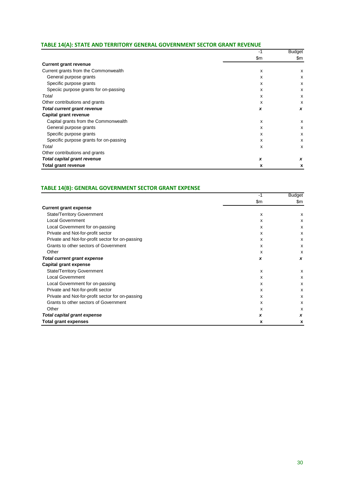#### **TABLE 14(A): STATE AND TERRITORY GENERAL GOVERNMENT SECTOR GRANT REVENUE**

|                                        | -1    | <b>Budget</b> |
|----------------------------------------|-------|---------------|
|                                        | \$m\$ | \$m           |
| <b>Current grant revenue</b>           |       |               |
| Current grants from the Commonwealth   | x     | x             |
| General purpose grants                 | x     | х             |
| Specific purpose grants                | x     | x             |
| Speciic purpose grants for on-passing  | x     | x             |
| Total                                  | x     | x             |
| Other contributions and grants         | x     | х             |
| <b>Total current grant revenue</b>     | x     | x             |
| Capital grant revenue                  |       |               |
| Capital grants from the Commonwealth   | x     | x             |
| General purpose grants                 | x     | х             |
| Specific purpose grants                | x     | х             |
| Specific purpose grants for on-passing | x     | x             |
| Total                                  | x     | x             |
| Other contributions and grants         |       |               |
| Total capital grant revenue            | X     | x             |
| <b>Total grant revenue</b>             | x     | x             |

#### **TABLE 14(B): GENERAL GOVERNMENT SECTOR GRANT EXPENSE**

|                                                  | -1    | Budget                    |
|--------------------------------------------------|-------|---------------------------|
|                                                  | \$m\$ | \$m                       |
| <b>Current grant expense</b>                     |       |                           |
| <b>State/Territory Government</b>                | x     | x                         |
| <b>Local Government</b>                          | X     | x                         |
| Local Government for on-passing                  | x     | X                         |
| Private and Not-for-profit sector                | x     | X                         |
| Private and Not-for-profit sector for on-passing | x     | X                         |
| Grants to other sectors of Government            | x     | x                         |
| Other                                            | x     | X                         |
| <b>Total current grant expense</b>               | x     | x                         |
| Capital grant expense                            |       |                           |
| <b>State/Territory Government</b>                | x     | x                         |
| <b>Local Government</b>                          | X     | x                         |
| Local Government for on-passing                  | x     | x                         |
| Private and Not-for-profit sector                | x     | X                         |
| Private and Not-for-profit sector for on-passing | x     | $\boldsymbol{\mathsf{x}}$ |
| Grants to other sectors of Government            | x     | X                         |
| Other                                            | x     | x                         |
| <b>Total capital grant expense</b>               | X     | x                         |
| <b>Total grant expenses</b>                      | x     | x                         |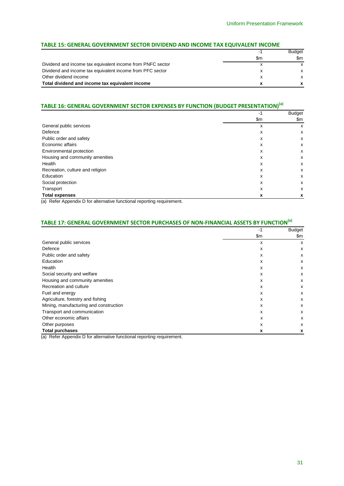#### **TABLE 15: GENERAL GOVERNMENT SECTOR DIVIDEND AND INCOME TAX EQUIVALENT INCOME**

|                                                            | -1  | <b>Budget</b> |
|------------------------------------------------------------|-----|---------------|
|                                                            | \$m | \$m           |
| Dividend and income tax equivalent income from PNFC sector |     | x             |
| Dividend and income tax equivalent income from PFC sector  |     | x             |
| Other dividend income                                      |     | x             |
| Total dividend and income tax equivalent income            |     |               |

### **TABLE 16: GENERAL GOVERNMENT SECTOR EXPENSES BY FUNCTION (BUDGET PRESENTATION)(a)**

|                                  | -1  | <b>Budget</b> |
|----------------------------------|-----|---------------|
|                                  | \$m | \$m           |
| General public services          | x   | х             |
| Defence                          | x   | x             |
| Public order and safety          | х   | x             |
| Economic affairs                 | x   | x             |
| Environmental protection         | x   | x             |
| Housing and community amenities  | x   | x             |
| Health                           | x   | x             |
| Recreation, culture and religion | x   | x             |
| Education                        | x   | x             |
| Social protection                | x   | x             |
| Transport                        | x   | x             |
| <b>Total expenses</b>            | X   | x             |

(a) Refer Appendix D for alternative functional reporting requirement.

# **TABLE 17: GENERAL GOVERNMENT SECTOR PURCHASES OF NON-FINANCIAL ASSETS BY FUNCTION(a)**

|                                        | -1  | <b>Budget</b> |
|----------------------------------------|-----|---------------|
|                                        | \$m | \$m           |
| General public services                | X   | X             |
| Defence                                | x   | x             |
| Public order and safety                | X   | x             |
| Education                              | x   | x             |
| Health                                 | x   | X             |
| Social security and welfare            | x   | x             |
| Housing and community amenities        | x   | x             |
| Recreation and culture                 | X   | x             |
| Fuel and energy                        | x   | x             |
| Agriculture, forestry and fishing      | x   | x             |
| Mining, manufacturing and construction | x   | x             |
| Transport and communication            | x   | x             |
| Other economic affairs                 | x   | x             |
| Other purposes                         | x   | x             |
| <b>Total purchases</b>                 | x   | x             |

(a) Refer Appendix D for alternative functional reporting requirement.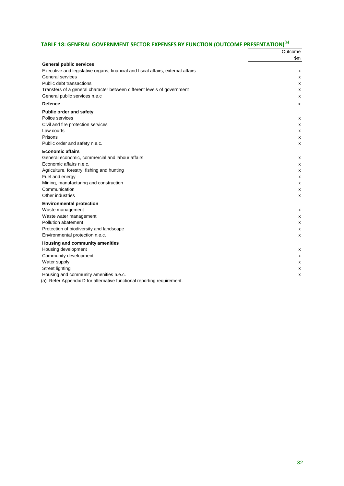# **TABLE 18: GENERAL GOVERNMENT SECTOR EXPENSES BY FUNCTION (OUTCOME PRESENTATION)(a)**

|                                                                                  | Outcome |
|----------------------------------------------------------------------------------|---------|
|                                                                                  | \$m     |
| <b>General public services</b>                                                   |         |
| Executive and legislative organs, financial and fiscal affairs, external affairs | х       |
| General services                                                                 | х       |
| Public debt transactions                                                         | х       |
| Transfers of a general character between different levels of government          | x       |
| General public services n.e.c                                                    | х       |
| <b>Defence</b>                                                                   | x       |
| Public order and safety                                                          |         |
| Police services                                                                  | x       |
| Civil and fire protection services                                               | X       |
| Law courts                                                                       | х       |
| Prisons                                                                          | х       |
| Public order and safety n.e.c.                                                   | х       |
| <b>Economic affairs</b>                                                          |         |
| General economic, commercial and labour affairs                                  | х       |
| Economic affairs n.e.c.                                                          | х       |
| Agriculture, forestry, fishing and hunting                                       | x       |
| Fuel and energy                                                                  | х       |
| Mining, manufacturing and construction                                           | x       |
| Communication                                                                    | x       |
| Other industries                                                                 | x       |
| <b>Environmental protection</b>                                                  |         |
| Waste management                                                                 | х       |
| Waste water management                                                           | х       |
| Pollution abatement                                                              | x       |
| Protection of biodiversity and landscape                                         | x       |
| Environmental protection n.e.c.                                                  | X       |
| Housing and community amenities                                                  |         |
| Housing development                                                              | x       |
| Community development                                                            | х       |
| Water supply                                                                     | х       |
| Street lighting                                                                  | х       |
| Housing and community amenities n.e.c.                                           | х       |
| (a) Refer Appendix D for alternative functional reporting requirement.           |         |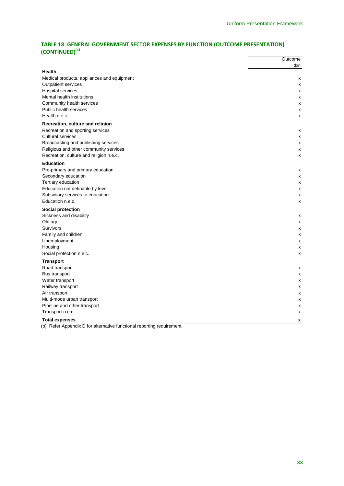#### **TABLE 18: GENERAL GOVERNMENT SECTOR EXPENSES BY FUNCTION (OUTCOME PRESENTATION) (CONTINUED)(a)**

|                                                                                                | Outcome |
|------------------------------------------------------------------------------------------------|---------|
| Health                                                                                         | \$m     |
| Medical products, appliances and equipment                                                     | х       |
| Outpatient services                                                                            | х       |
| <b>Hospital services</b>                                                                       | x       |
| Mental health institutions                                                                     | х       |
| Community health services                                                                      | х       |
| <b>Public health services</b>                                                                  | х       |
| Health n.e.c.                                                                                  | X       |
| Recreation, culture and religion                                                               |         |
| Recreation and sporting services                                                               | x       |
| <b>Cultural services</b>                                                                       | х       |
| Broadcasting and publishing services                                                           | х       |
| Religious and other community services                                                         | х       |
| Recreation, culture and religion n.e.c.                                                        | x       |
| <b>Education</b>                                                                               |         |
| Pre-primary and primary education                                                              | x       |
| Secondary education                                                                            | х       |
| Tertiary education                                                                             | х       |
| Education not definable by level                                                               | х       |
| Subsidiary services to education                                                               | x       |
| Education n.e.c.                                                                               | X       |
| Social protection                                                                              |         |
| Sickness and disability                                                                        | х       |
| Old age                                                                                        | х       |
| Survivors                                                                                      | x       |
| Family and children                                                                            | x       |
| Unemployment                                                                                   | x       |
| Housing                                                                                        | х       |
| Social protection n.e.c.                                                                       | x       |
| <b>Transport</b>                                                                               |         |
| Road transport                                                                                 | х       |
| Bus transport                                                                                  | х       |
| Water transport                                                                                | x       |
| Railway transport                                                                              | х       |
| Air transport                                                                                  | x       |
| Multi-mode urban transport                                                                     | х       |
| Pipeline and other transport                                                                   | X       |
| Transport n.e.c.                                                                               | х       |
| <b>Total expenses</b><br>(b) Refer Appendix D for alternative functional reporting requirement | X       |

(b) Refer Appendix D for alternative functional reporting requirer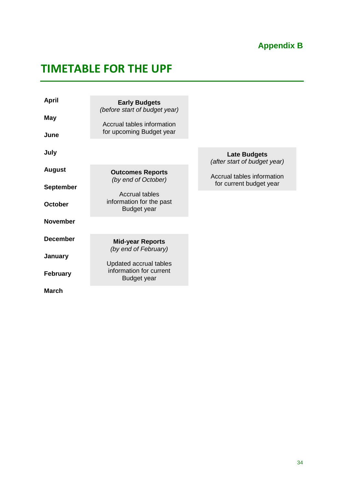# **Appendix B**

# <span id="page-37-1"></span><span id="page-37-0"></span>**TIMETABLE FOR THE UPF**

| <b>April</b><br><b>May</b><br>June | <b>Early Budgets</b><br>(before start of budget year)<br>Accrual tables information<br>for upcoming Budget year |                                                     |
|------------------------------------|-----------------------------------------------------------------------------------------------------------------|-----------------------------------------------------|
| July                               |                                                                                                                 | <b>Late Budgets</b><br>(after start of budget year) |
| <b>August</b>                      | <b>Outcomes Reports</b><br>(by end of October)                                                                  | Accrual tables information                          |
| <b>September</b>                   | <b>Accrual tables</b>                                                                                           | for current budget year                             |
| October                            | information for the past<br><b>Budget year</b>                                                                  |                                                     |
| <b>November</b>                    |                                                                                                                 |                                                     |
| <b>December</b>                    | <b>Mid-year Reports</b><br>(by end of February)                                                                 |                                                     |
| January                            | Updated accrual tables                                                                                          |                                                     |
| <b>February</b>                    | information for current<br><b>Budget year</b>                                                                   |                                                     |
| <b>March</b>                       |                                                                                                                 |                                                     |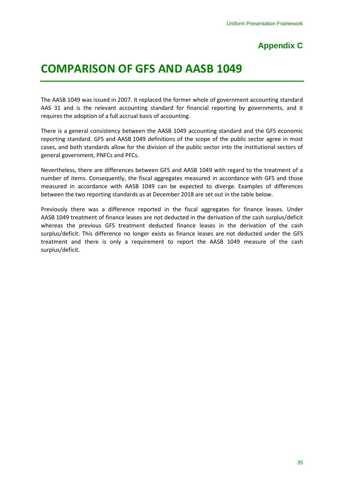# **Appendix C**

# <span id="page-38-1"></span><span id="page-38-0"></span>**COMPARISON OF GFS AND AASB 1049**

The AASB 1049 was issued in 2007. It replaced the former whole of government accounting standard AAS 31 and is the relevant accounting standard for financial reporting by governments, and it requires the adoption of a full accrual basis of accounting.

There is a general consistency between the AASB 1049 accounting standard and the GFS economic reporting standard. GFS and AASB 1049 definitions of the scope of the public sector agree in most cases, and both standards allow for the division of the public sector into the institutional sectors of general government, PNFCs and PFCs.

Nevertheless, there are differences between GFS and AASB 1049 with regard to the treatment of a number of items. Consequently, the fiscal aggregates measured in accordance with GFS and those measured in accordance with AASB 1049 can be expected to diverge. Examples of differences between the two reporting standards as at December 2018 are set out in the table below.

Previously there was a difference reported in the fiscal aggregates for finance leases. Under AASB 1049 treatment of finance leases are not deducted in the derivation of the cash surplus/deficit whereas the previous GFS treatment deducted finance leases in the derivation of the cash surplus/deficit. This difference no longer exists as finance leases are not deducted under the GFS treatment and there is only a requirement to report the AASB 1049 measure of the cash surplus/deficit.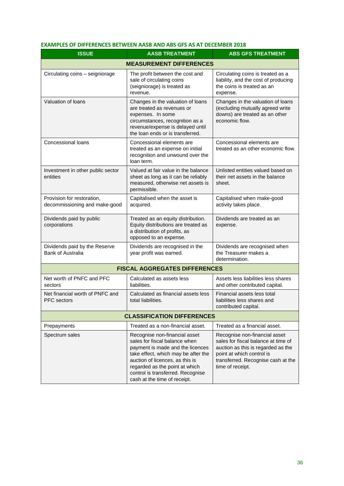#### **EXAMPLES OF DIFFERENCES BETWEEN AASB AND ABS GFS AS AT DECEMBER 2018**

| <b>ISSUE</b>                                                | <b>AASB TREATMENT</b>                                                                                                                                                                                                                                                               | <b>ABS GFS TREATMENT</b>                                                                                                                                                                          |  |  |
|-------------------------------------------------------------|-------------------------------------------------------------------------------------------------------------------------------------------------------------------------------------------------------------------------------------------------------------------------------------|---------------------------------------------------------------------------------------------------------------------------------------------------------------------------------------------------|--|--|
| <b>MEASUREMENT DIFFERENCES</b>                              |                                                                                                                                                                                                                                                                                     |                                                                                                                                                                                                   |  |  |
| Circulating coins - seigniorage                             | The profit between the cost and<br>sale of circulating coins<br>(seigniorage) is treated as<br>revenue.                                                                                                                                                                             | Circulating coins is treated as a<br>liability, and the cost of producing<br>the coins is treated as an<br>expense.                                                                               |  |  |
| Valuation of loans                                          | Changes in the valuation of loans<br>are treated as revenues or<br>expenses. In some<br>circumstances, recognition as a<br>revenue/expense is delayed until<br>the loan ends or is transferred.                                                                                     | Changes in the valuation of loans<br>(excluding mutually agreed write<br>downs) are treated as an other<br>economic flow.                                                                         |  |  |
| Concessional loans                                          | Concessional elements are<br>treated as an expense on initial<br>recognition and unwound over the<br>loan term.                                                                                                                                                                     | Concessional elements are<br>treated as an other economic flow.                                                                                                                                   |  |  |
| Investment in other public sector<br>entities               | Valued at fair value in the balance<br>sheet as long as it can be reliably<br>measured, otherwise net assets is<br>permissible.                                                                                                                                                     | Unlisted entities valued based on<br>their net assets in the balance<br>sheet.                                                                                                                    |  |  |
| Provision for restoration,<br>decommissioning and make-good | Capitalised when the asset is<br>acquired.                                                                                                                                                                                                                                          | Capitalised when make-good<br>activity takes place.                                                                                                                                               |  |  |
| Dividends paid by public<br>corporations                    | Treated as an equity distribution.<br>Equity distributions are treated as<br>a distribution of profits, as<br>opposed to an expense.                                                                                                                                                | Dividends are treated as an<br>expense.                                                                                                                                                           |  |  |
| Dividends paid by the Reserve<br>Bank of Australia          | Dividends are recognised in the<br>year profit was earned.                                                                                                                                                                                                                          | Dividends are recognised when<br>the Treasurer makes a<br>determination.                                                                                                                          |  |  |
|                                                             | <b>FISCAL AGGREGATES DIFFERENCES</b>                                                                                                                                                                                                                                                |                                                                                                                                                                                                   |  |  |
| Net worth of PNFC and PFC<br>sectors                        | Calculated as assets less<br>liabilities.                                                                                                                                                                                                                                           | Assets less liabilities less shares<br>and other contributed capital.                                                                                                                             |  |  |
| Net financial worth of PNFC and<br><b>PFC</b> sectors       | Calculated as financial assets less<br>total liabilities.                                                                                                                                                                                                                           | Financial assets less total<br>liabilities less shares and<br>contributed capital.                                                                                                                |  |  |
| <b>CLASSIFICATION DIFFERENCES</b>                           |                                                                                                                                                                                                                                                                                     |                                                                                                                                                                                                   |  |  |
| Prepayments                                                 | Treated as a non-financial asset.                                                                                                                                                                                                                                                   | Treated as a financial asset.                                                                                                                                                                     |  |  |
| Spectrum sales                                              | Recognise non-financial asset<br>sales for fiscal balance when<br>payment is made and the licences<br>take effect, which may be after the<br>auction of licences, as this is<br>regarded as the point at which<br>control is transferred. Recognise<br>cash at the time of receipt. | Recognise non-financial asset<br>sales for fiscal balance at time of<br>auction as this is regarded as the<br>point at which control is<br>transferred. Recognise cash at the<br>time of receipt. |  |  |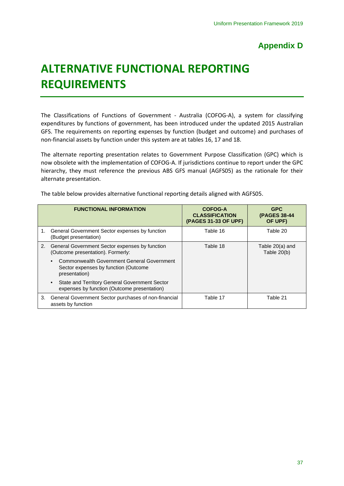# **Appendix D**

# <span id="page-40-1"></span><span id="page-40-0"></span>**ALTERNATIVE FUNCTIONAL REPORTING REQUIREMENTS**

The Classifications of Functions of Government - Australia (COFOG-A), a system for classifying expenditures by functions of government, has been introduced under the updated 2015 Australian GFS. The requirements on reporting expenses by function (budget and outcome) and purchases of non-financial assets by function under this system are at tables 16, 17 and 18.

The alternate reporting presentation relates to Government Purpose Classification (GPC) which is now obsolete with the implementation of COFOG-A. If jurisdictions continue to report under the GPC hierarchy, they must reference the previous ABS GFS manual (AGFS05) as the rationale for their alternate presentation.

|    | <b>FUNCTIONAL INFORMATION</b>                                                                       | <b>COFOG-A</b><br><b>CLASSIFICATION</b><br>(PAGES 31-33 OF UPF) | <b>GPC</b><br>(PAGES 38-44<br>OF UPF) |
|----|-----------------------------------------------------------------------------------------------------|-----------------------------------------------------------------|---------------------------------------|
|    | 1. General Government Sector expenses by function<br>(Budget presentation)                          | Table 16                                                        | Table 20                              |
|    | 2. General Government Sector expenses by function<br>(Outcome presentation). Formerly:              | Table 18                                                        | Table 20(a) and<br>Table $20(b)$      |
|    | Commonwealth Government General Government<br>Sector expenses by function (Outcome<br>presentation) |                                                                 |                                       |
|    | <b>State and Territory General Government Sector</b><br>expenses by function (Outcome presentation) |                                                                 |                                       |
| 3. | General Government Sector purchases of non-financial<br>assets by function                          | Table 17                                                        | Table 21                              |

The table below provides alternative functional reporting details aligned with AGFS05.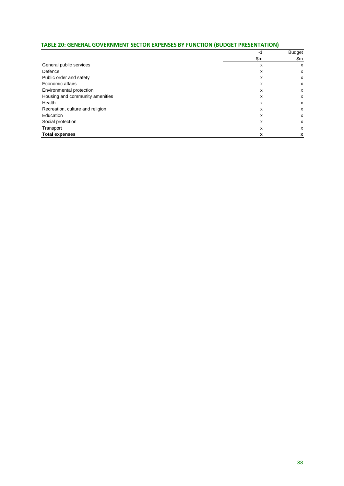#### **TABLE 20: GENERAL GOVERNMENT SECTOR EXPENSES BY FUNCTION (BUDGET PRESENTATION)**

|                                  | -1  | <b>Budget</b> |
|----------------------------------|-----|---------------|
|                                  | \$m | \$m           |
| General public services          | X   | х             |
| Defence                          | x   | x             |
| Public order and safety          | х   | x             |
| Economic affairs                 | x   | x             |
| Environmental protection         | x   | x             |
| Housing and community amenities  | x   | x             |
| Health                           | x   | x             |
| Recreation, culture and religion | x   | x             |
| Education                        | x   | x             |
| Social protection                | x   | x             |
| Transport                        | x   | x             |
| <b>Total expenses</b>            | x   | x             |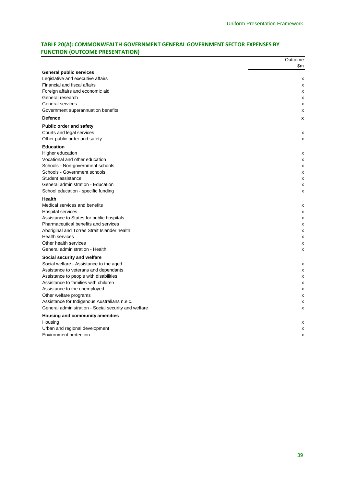### **TABLE 20(A): COMMONWEALTH GOVERNMENT GENERAL GOVERNMENT SECTOR EXPENSES BY FUNCTION (OUTCOME PRESENTATION)**

|                                                      | Outcome |
|------------------------------------------------------|---------|
|                                                      | \$m     |
| <b>General public services</b>                       |         |
| Legislative and executive affairs                    | х       |
| Financial and fiscal affairs                         | x       |
| Foreign affairs and economic aid                     | x       |
| General research                                     | х       |
| General services                                     | x       |
| Government superannuation benefits                   | x       |
| <b>Defence</b>                                       | X       |
| <b>Public order and safety</b>                       |         |
| Courts and legal services                            | x       |
| Other public order and safety                        | x       |
| <b>Education</b>                                     |         |
| Higher education                                     | x       |
| Vocational and other education                       | x       |
| Schools - Non-government schools                     | x       |
| Schools - Government schools                         | x       |
| Student assistance                                   | x       |
| General administration - Education                   | x       |
| School education - specific funding                  | X       |
| <b>Health</b>                                        |         |
| Medical services and benefits                        | х       |
| Hospital services                                    | x       |
| Assistance to States for public hospitals            | x       |
| Pharmaceutical benefits and services                 | х       |
| Aboriginal and Torres Strait Islander health         | x       |
| <b>Health services</b>                               | x       |
| Other health services                                | х       |
| General administration - Health                      | x       |
| Social security and welfare                          |         |
| Social welfare - Assistance to the aged              | x       |
| Assistance to veterans and dependants                | х       |
| Assistance to people with disabilities               | x       |
| Assistance to families with children                 | x       |
| Assistance to the unemployed                         | х       |
| Other welfare programs                               | x       |
| Assistance for Indigenous Australians n.e.c.         | x       |
| General administration - Social security and welfare | x       |
| Housing and community amenities                      |         |
| Housing                                              | х       |
| Urban and regional development                       | x       |
| Environment protection                               | x       |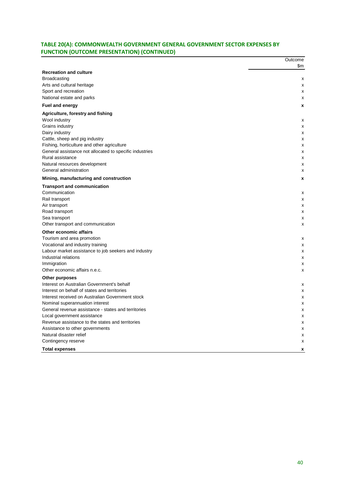### **TABLE 20(A): COMMONWEALTH GOVERNMENT GENERAL GOVERNMENT SECTOR EXPENSES BY FUNCTION (OUTCOME PRESENTATION) (CONTINUED)**

|                                                         | Outcome |
|---------------------------------------------------------|---------|
|                                                         | \$m     |
| <b>Recreation and culture</b>                           |         |
| Broadcasting                                            | x       |
| Arts and cultural heritage                              | x       |
| Sport and recreation                                    | х       |
| National estate and parks                               | X       |
| <b>Fuel and energy</b>                                  | x       |
| Agriculture, forestry and fishing                       |         |
| Wool industry                                           | x       |
| Grains industry                                         | х       |
| Dairy industry                                          | x       |
| Cattle, sheep and pig industry                          | х       |
| Fishing, horticulture and other agriculture             | x       |
| General assistance not allocated to specific industries | x       |
| Rural assistance                                        | x       |
| Natural resources development                           | x       |
| General administration                                  | x       |
| Mining, manufacturing and construction                  | x       |
| <b>Transport and communication</b>                      |         |
| Communication                                           | x       |
| Rail transport                                          | х       |
| Air transport                                           | x       |
| Road transport                                          | X       |
| Sea transport                                           | х       |
| Other transport and communication                       | X       |
| Other economic affairs                                  |         |
| Tourism and area promotion                              | x       |
| Vocational and industry training                        | x       |
| Labour market assistance to job seekers and industry    | X       |
| Industrial relations                                    | x       |
| Immigration                                             | х       |
| Other economic affairs n.e.c.                           | x       |
| Other purposes                                          |         |
| Interest on Australian Government's behalf              | х       |
| Interest on behalf of states and territories            | X       |
| Interest received on Australian Government stock        | x       |
| Nominal superannuation interest                         | х       |
| General revenue assistance - states and territories     | x       |
| Local government assistance                             | X       |
| Revenue assistance to the states and territories        | x       |
| Assistance to other governments                         | x       |
| Natural disaster relief                                 | х       |
| Contingency reserve                                     | X       |
| <b>Total expenses</b>                                   | x       |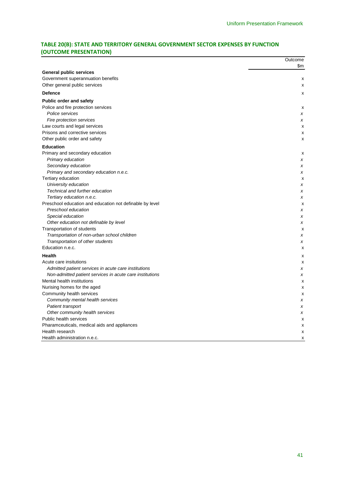### **TABLE 20(B): STATE AND TERRITORY GENERAL GOVERNMENT SECTOR EXPENSES BY FUNCTION (OUTCOME PRESENTATION)**

| \$m<br><b>General public services</b><br>Government superannuation benefits<br>х<br>Other general public services<br>x<br><b>Defence</b><br>x<br><b>Public order and safety</b><br>Police and fire protection services<br>x<br>Police services<br>x<br>Fire protection services<br>x<br>Law courts and legal services<br>х<br>Prisons and corrective services<br>X<br>Other public order and safety<br>x<br><b>Education</b><br>Primary and secondary education<br>X<br>Primary education<br>x<br>Secondary education<br>x<br>Primary and secondary education n.e.c.<br>x<br>Tertiary education<br>X<br>University education<br>x<br>Technical and further education<br>x<br>Tertiary education n.e.c.<br>x<br>Preschool education and education not definable by level<br>X<br>Preschool education<br>x<br>Special education<br>x<br>Other education not definable by level<br>x<br>Transportation of students<br>X<br>Transportation of non-urban school children<br>x<br>Transportation of other students<br>x<br>Education n.e.c.<br>X<br><b>Health</b><br>x<br>Acute care insitutions<br>x<br>Admitted patient services in acute care institutions<br>x<br>Non-admitted patient services in acute care institutions<br>x<br>Mental health institutions<br>x<br>Nurising homes for the aged<br>X<br>Community health services<br>x<br>Community mental health services<br>x<br>Patient transport<br>x<br>Other community health services<br>x<br>Public health services<br>X<br>Pharamceuticals, medical aids and appliances<br>X<br>Health research<br>X<br>Health administration n.e.c.<br>x | Outcome |
|----------------------------------------------------------------------------------------------------------------------------------------------------------------------------------------------------------------------------------------------------------------------------------------------------------------------------------------------------------------------------------------------------------------------------------------------------------------------------------------------------------------------------------------------------------------------------------------------------------------------------------------------------------------------------------------------------------------------------------------------------------------------------------------------------------------------------------------------------------------------------------------------------------------------------------------------------------------------------------------------------------------------------------------------------------------------------------------------------------------------------------------------------------------------------------------------------------------------------------------------------------------------------------------------------------------------------------------------------------------------------------------------------------------------------------------------------------------------------------------------------------------------------------------------------------------------------------------------------|---------|
|                                                                                                                                                                                                                                                                                                                                                                                                                                                                                                                                                                                                                                                                                                                                                                                                                                                                                                                                                                                                                                                                                                                                                                                                                                                                                                                                                                                                                                                                                                                                                                                                    |         |
|                                                                                                                                                                                                                                                                                                                                                                                                                                                                                                                                                                                                                                                                                                                                                                                                                                                                                                                                                                                                                                                                                                                                                                                                                                                                                                                                                                                                                                                                                                                                                                                                    |         |
|                                                                                                                                                                                                                                                                                                                                                                                                                                                                                                                                                                                                                                                                                                                                                                                                                                                                                                                                                                                                                                                                                                                                                                                                                                                                                                                                                                                                                                                                                                                                                                                                    |         |
|                                                                                                                                                                                                                                                                                                                                                                                                                                                                                                                                                                                                                                                                                                                                                                                                                                                                                                                                                                                                                                                                                                                                                                                                                                                                                                                                                                                                                                                                                                                                                                                                    |         |
|                                                                                                                                                                                                                                                                                                                                                                                                                                                                                                                                                                                                                                                                                                                                                                                                                                                                                                                                                                                                                                                                                                                                                                                                                                                                                                                                                                                                                                                                                                                                                                                                    |         |
|                                                                                                                                                                                                                                                                                                                                                                                                                                                                                                                                                                                                                                                                                                                                                                                                                                                                                                                                                                                                                                                                                                                                                                                                                                                                                                                                                                                                                                                                                                                                                                                                    |         |
|                                                                                                                                                                                                                                                                                                                                                                                                                                                                                                                                                                                                                                                                                                                                                                                                                                                                                                                                                                                                                                                                                                                                                                                                                                                                                                                                                                                                                                                                                                                                                                                                    |         |
|                                                                                                                                                                                                                                                                                                                                                                                                                                                                                                                                                                                                                                                                                                                                                                                                                                                                                                                                                                                                                                                                                                                                                                                                                                                                                                                                                                                                                                                                                                                                                                                                    |         |
|                                                                                                                                                                                                                                                                                                                                                                                                                                                                                                                                                                                                                                                                                                                                                                                                                                                                                                                                                                                                                                                                                                                                                                                                                                                                                                                                                                                                                                                                                                                                                                                                    |         |
|                                                                                                                                                                                                                                                                                                                                                                                                                                                                                                                                                                                                                                                                                                                                                                                                                                                                                                                                                                                                                                                                                                                                                                                                                                                                                                                                                                                                                                                                                                                                                                                                    |         |
|                                                                                                                                                                                                                                                                                                                                                                                                                                                                                                                                                                                                                                                                                                                                                                                                                                                                                                                                                                                                                                                                                                                                                                                                                                                                                                                                                                                                                                                                                                                                                                                                    |         |
|                                                                                                                                                                                                                                                                                                                                                                                                                                                                                                                                                                                                                                                                                                                                                                                                                                                                                                                                                                                                                                                                                                                                                                                                                                                                                                                                                                                                                                                                                                                                                                                                    |         |
|                                                                                                                                                                                                                                                                                                                                                                                                                                                                                                                                                                                                                                                                                                                                                                                                                                                                                                                                                                                                                                                                                                                                                                                                                                                                                                                                                                                                                                                                                                                                                                                                    |         |
|                                                                                                                                                                                                                                                                                                                                                                                                                                                                                                                                                                                                                                                                                                                                                                                                                                                                                                                                                                                                                                                                                                                                                                                                                                                                                                                                                                                                                                                                                                                                                                                                    |         |
|                                                                                                                                                                                                                                                                                                                                                                                                                                                                                                                                                                                                                                                                                                                                                                                                                                                                                                                                                                                                                                                                                                                                                                                                                                                                                                                                                                                                                                                                                                                                                                                                    |         |
|                                                                                                                                                                                                                                                                                                                                                                                                                                                                                                                                                                                                                                                                                                                                                                                                                                                                                                                                                                                                                                                                                                                                                                                                                                                                                                                                                                                                                                                                                                                                                                                                    |         |
|                                                                                                                                                                                                                                                                                                                                                                                                                                                                                                                                                                                                                                                                                                                                                                                                                                                                                                                                                                                                                                                                                                                                                                                                                                                                                                                                                                                                                                                                                                                                                                                                    |         |
|                                                                                                                                                                                                                                                                                                                                                                                                                                                                                                                                                                                                                                                                                                                                                                                                                                                                                                                                                                                                                                                                                                                                                                                                                                                                                                                                                                                                                                                                                                                                                                                                    |         |
|                                                                                                                                                                                                                                                                                                                                                                                                                                                                                                                                                                                                                                                                                                                                                                                                                                                                                                                                                                                                                                                                                                                                                                                                                                                                                                                                                                                                                                                                                                                                                                                                    |         |
|                                                                                                                                                                                                                                                                                                                                                                                                                                                                                                                                                                                                                                                                                                                                                                                                                                                                                                                                                                                                                                                                                                                                                                                                                                                                                                                                                                                                                                                                                                                                                                                                    |         |
|                                                                                                                                                                                                                                                                                                                                                                                                                                                                                                                                                                                                                                                                                                                                                                                                                                                                                                                                                                                                                                                                                                                                                                                                                                                                                                                                                                                                                                                                                                                                                                                                    |         |
|                                                                                                                                                                                                                                                                                                                                                                                                                                                                                                                                                                                                                                                                                                                                                                                                                                                                                                                                                                                                                                                                                                                                                                                                                                                                                                                                                                                                                                                                                                                                                                                                    |         |
|                                                                                                                                                                                                                                                                                                                                                                                                                                                                                                                                                                                                                                                                                                                                                                                                                                                                                                                                                                                                                                                                                                                                                                                                                                                                                                                                                                                                                                                                                                                                                                                                    |         |
|                                                                                                                                                                                                                                                                                                                                                                                                                                                                                                                                                                                                                                                                                                                                                                                                                                                                                                                                                                                                                                                                                                                                                                                                                                                                                                                                                                                                                                                                                                                                                                                                    |         |
|                                                                                                                                                                                                                                                                                                                                                                                                                                                                                                                                                                                                                                                                                                                                                                                                                                                                                                                                                                                                                                                                                                                                                                                                                                                                                                                                                                                                                                                                                                                                                                                                    |         |
|                                                                                                                                                                                                                                                                                                                                                                                                                                                                                                                                                                                                                                                                                                                                                                                                                                                                                                                                                                                                                                                                                                                                                                                                                                                                                                                                                                                                                                                                                                                                                                                                    |         |
|                                                                                                                                                                                                                                                                                                                                                                                                                                                                                                                                                                                                                                                                                                                                                                                                                                                                                                                                                                                                                                                                                                                                                                                                                                                                                                                                                                                                                                                                                                                                                                                                    |         |
|                                                                                                                                                                                                                                                                                                                                                                                                                                                                                                                                                                                                                                                                                                                                                                                                                                                                                                                                                                                                                                                                                                                                                                                                                                                                                                                                                                                                                                                                                                                                                                                                    |         |
|                                                                                                                                                                                                                                                                                                                                                                                                                                                                                                                                                                                                                                                                                                                                                                                                                                                                                                                                                                                                                                                                                                                                                                                                                                                                                                                                                                                                                                                                                                                                                                                                    |         |
|                                                                                                                                                                                                                                                                                                                                                                                                                                                                                                                                                                                                                                                                                                                                                                                                                                                                                                                                                                                                                                                                                                                                                                                                                                                                                                                                                                                                                                                                                                                                                                                                    |         |
|                                                                                                                                                                                                                                                                                                                                                                                                                                                                                                                                                                                                                                                                                                                                                                                                                                                                                                                                                                                                                                                                                                                                                                                                                                                                                                                                                                                                                                                                                                                                                                                                    |         |
|                                                                                                                                                                                                                                                                                                                                                                                                                                                                                                                                                                                                                                                                                                                                                                                                                                                                                                                                                                                                                                                                                                                                                                                                                                                                                                                                                                                                                                                                                                                                                                                                    |         |
|                                                                                                                                                                                                                                                                                                                                                                                                                                                                                                                                                                                                                                                                                                                                                                                                                                                                                                                                                                                                                                                                                                                                                                                                                                                                                                                                                                                                                                                                                                                                                                                                    |         |
|                                                                                                                                                                                                                                                                                                                                                                                                                                                                                                                                                                                                                                                                                                                                                                                                                                                                                                                                                                                                                                                                                                                                                                                                                                                                                                                                                                                                                                                                                                                                                                                                    |         |
|                                                                                                                                                                                                                                                                                                                                                                                                                                                                                                                                                                                                                                                                                                                                                                                                                                                                                                                                                                                                                                                                                                                                                                                                                                                                                                                                                                                                                                                                                                                                                                                                    |         |
|                                                                                                                                                                                                                                                                                                                                                                                                                                                                                                                                                                                                                                                                                                                                                                                                                                                                                                                                                                                                                                                                                                                                                                                                                                                                                                                                                                                                                                                                                                                                                                                                    |         |
|                                                                                                                                                                                                                                                                                                                                                                                                                                                                                                                                                                                                                                                                                                                                                                                                                                                                                                                                                                                                                                                                                                                                                                                                                                                                                                                                                                                                                                                                                                                                                                                                    |         |
|                                                                                                                                                                                                                                                                                                                                                                                                                                                                                                                                                                                                                                                                                                                                                                                                                                                                                                                                                                                                                                                                                                                                                                                                                                                                                                                                                                                                                                                                                                                                                                                                    |         |
|                                                                                                                                                                                                                                                                                                                                                                                                                                                                                                                                                                                                                                                                                                                                                                                                                                                                                                                                                                                                                                                                                                                                                                                                                                                                                                                                                                                                                                                                                                                                                                                                    |         |
|                                                                                                                                                                                                                                                                                                                                                                                                                                                                                                                                                                                                                                                                                                                                                                                                                                                                                                                                                                                                                                                                                                                                                                                                                                                                                                                                                                                                                                                                                                                                                                                                    |         |
|                                                                                                                                                                                                                                                                                                                                                                                                                                                                                                                                                                                                                                                                                                                                                                                                                                                                                                                                                                                                                                                                                                                                                                                                                                                                                                                                                                                                                                                                                                                                                                                                    |         |
|                                                                                                                                                                                                                                                                                                                                                                                                                                                                                                                                                                                                                                                                                                                                                                                                                                                                                                                                                                                                                                                                                                                                                                                                                                                                                                                                                                                                                                                                                                                                                                                                    |         |
|                                                                                                                                                                                                                                                                                                                                                                                                                                                                                                                                                                                                                                                                                                                                                                                                                                                                                                                                                                                                                                                                                                                                                                                                                                                                                                                                                                                                                                                                                                                                                                                                    |         |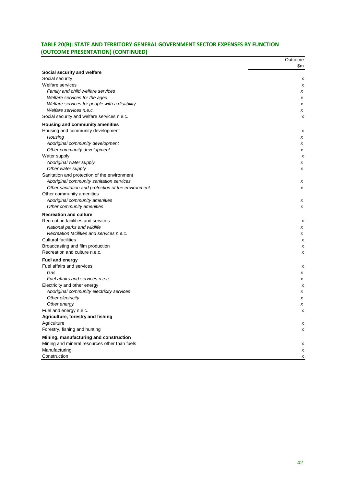### **TABLE 20(B): STATE AND TERRITORY GENERAL GOVERNMENT SECTOR EXPENSES BY FUNCTION (OUTCOME PRESENTATION) (CONTINUED)**

| Social security and welfare<br>Social security<br>Welfare services<br>Family and child welfare services<br>Welfare services for the aged | \$m<br>х<br>х<br>x<br>x<br>х<br>x<br>x |
|------------------------------------------------------------------------------------------------------------------------------------------|----------------------------------------|
|                                                                                                                                          |                                        |
|                                                                                                                                          |                                        |
|                                                                                                                                          |                                        |
|                                                                                                                                          |                                        |
|                                                                                                                                          |                                        |
|                                                                                                                                          |                                        |
| Welfare services for people with a disability                                                                                            |                                        |
| Welfare services n.e.c.                                                                                                                  |                                        |
| Social security and welfare services n.e.c.                                                                                              |                                        |
| Housing and community amenities                                                                                                          |                                        |
| Housing and community development                                                                                                        | х                                      |
| Housing                                                                                                                                  | x                                      |
| Aboriginal community development                                                                                                         | x                                      |
| Other community development                                                                                                              | x                                      |
| Water supply                                                                                                                             | х                                      |
| Aboriginal water supply                                                                                                                  | x                                      |
| Other water supply                                                                                                                       | x                                      |
| Sanitation and protection of the environment                                                                                             |                                        |
| Aboriginal community sanitation services                                                                                                 | x                                      |
| Other sanitation and protection of the environment                                                                                       | x                                      |
| Other community amenities                                                                                                                |                                        |
| Aboriginal community amenities                                                                                                           | х                                      |
| Other community amenities                                                                                                                | x                                      |
| <b>Recreation and culture</b>                                                                                                            |                                        |
| Recreation facilities and services                                                                                                       | х                                      |
| National parks and wildlife                                                                                                              | х                                      |
| Recreation facilities and services n.e.c.                                                                                                | x                                      |
| <b>Cultural facilities</b>                                                                                                               | х                                      |
| Broadcasting and film production                                                                                                         | х                                      |
| Recreation and culture n.e.c.                                                                                                            | x                                      |
| <b>Fuel and energy</b>                                                                                                                   |                                        |
| Fuel affairs and services                                                                                                                | х                                      |
| Gas                                                                                                                                      | x                                      |
| Fuel affairs and services n.e.c.                                                                                                         | x                                      |
| Electricity and other energy                                                                                                             | х                                      |
| Aboriginal community electricity services                                                                                                | x                                      |
| Other electricity                                                                                                                        | x                                      |
| Other energy                                                                                                                             | x                                      |
| Fuel and energy n.e.c.                                                                                                                   | x                                      |
| Agriculture, forestry and fishing                                                                                                        |                                        |
| Agriculture                                                                                                                              | x                                      |
| Forestry, fishing and hunting                                                                                                            | х                                      |
| Mining, manufacturing and construction                                                                                                   |                                        |
| Mining and mineral resources other than fuels                                                                                            | х                                      |
| Manufacturing                                                                                                                            | х                                      |
| Construction                                                                                                                             | х                                      |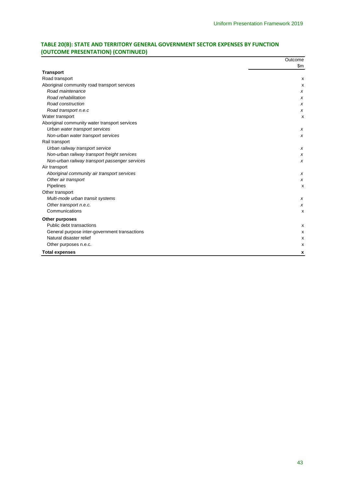### **TABLE 20(B): STATE AND TERRITORY GENERAL GOVERNMENT SECTOR EXPENSES BY FUNCTION (OUTCOME PRESENTATION) (CONTINUED)**

|                                                | Outcome |
|------------------------------------------------|---------|
|                                                | \$m     |
| <b>Transport</b>                               |         |
| Road transport                                 | х       |
| Aboriginal community road transport services   | X       |
| Road maintenance                               | х       |
| Road rehabilitation                            | х       |
| Road construction                              | x       |
| Road transport n.e.c                           | x       |
| Water transport                                | X       |
| Aboriginal community water transport services  |         |
| Urban water transport services                 | x       |
| Non-urban water transport services             | x       |
| Rail transport                                 |         |
| Urban railway transport service                | x       |
| Non-urban railway transport freight services   | x       |
| Non-urban railway transport passenger services | x       |
| Air transport                                  |         |
| Aboriginal community air transport services    | x       |
| Other air transport                            | x       |
| Pipelines                                      | х       |
| Other transport                                |         |
| Multi-mode urban transit systems               | x       |
| Other transport n.e.c.                         | x       |
| Communications                                 | X       |
| Other purposes                                 |         |
| Public debt transactions                       | x       |
| General purpose inter-government transactions  | х       |
| Natural disaster relief                        | х       |
| Other purposes n.e.c.                          | х       |
| <b>Total expenses</b>                          | X       |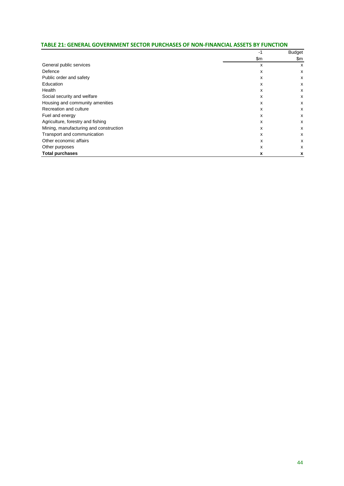| TABLE 21: GENERAL GOVERNMENT SECTOR PURCHASES OF NON-FINANCIAL ASSETS BY FUNCTION |  |  |  |  |  |
|-----------------------------------------------------------------------------------|--|--|--|--|--|
|-----------------------------------------------------------------------------------|--|--|--|--|--|

|                                        | -1            | Budget<br>\$m |
|----------------------------------------|---------------|---------------|
|                                        | $\mathsf{Sm}$ |               |
| General public services                | x             | x             |
| Defence                                | х             | х             |
| Public order and safety                | x             | x             |
| Education                              | х             | х             |
| Health                                 | x             | X             |
| Social security and welfare            | x             | х             |
| Housing and community amenities        | x             | x             |
| Recreation and culture                 | x             | x             |
| Fuel and energy                        | x             | х             |
| Agriculture, forestry and fishing      | x             | X             |
| Mining, manufacturing and construction | x             | x             |
| Transport and communication            | x             | x             |
| Other economic affairs                 | x             | x             |
| Other purposes                         | x             | X             |
| <b>Total purchases</b>                 | x             | x             |